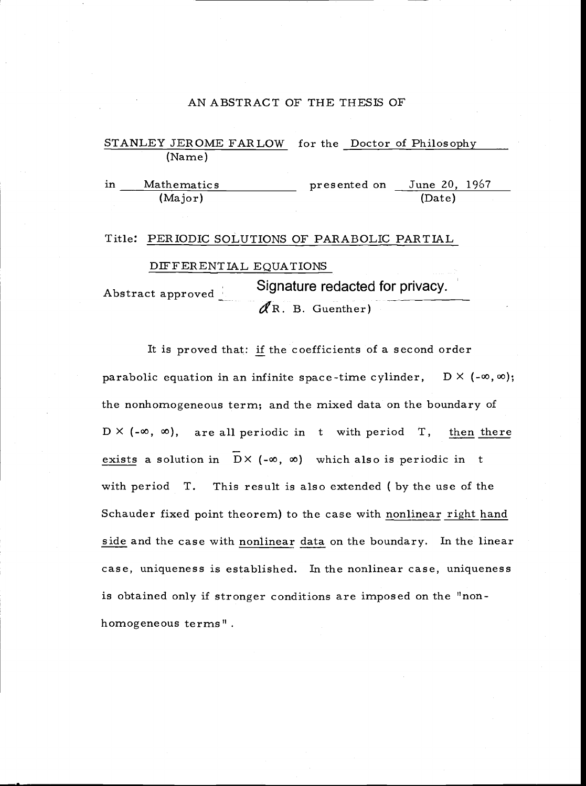#### AN ABSTRACT OF THE THESIS OF

## STANLEY JEROME FARLOW for the Doctor of Philosophy (Name)

in Mathematics presented on June 20, 1967 (Major) (Date)

#### Title: PERIODIC SOLUTIONS OF PARABOLIC PARTIAL

#### DIFFERENTIAL EQUATIONS

Abstract approved Signature redacted for privacy.  $\mathscr{R}$ R. B. Guenther)

It is proved that: if the coefficients of a second order parabolic equation in an infinite space-time cylinder,  $D \times (-\infty, \infty);$ the nonhomogeneous term; and the mixed data on the boundary of  $D \times (-\infty, \infty)$ , are all periodic in t with period T, then there exists a solution in  $DX (-\infty, \infty)$  which also is periodic in t with period T. This result is also extended ( by the use of the Schauder fixed point theorem) to the case with nonlinear right hand side and the case with nonlinear data on the boundary. In the linear case, uniqueness is established. In the nonlinear case, uniqueness is obtained only if stronger conditions are imposed on the "nonhomogeneous terms".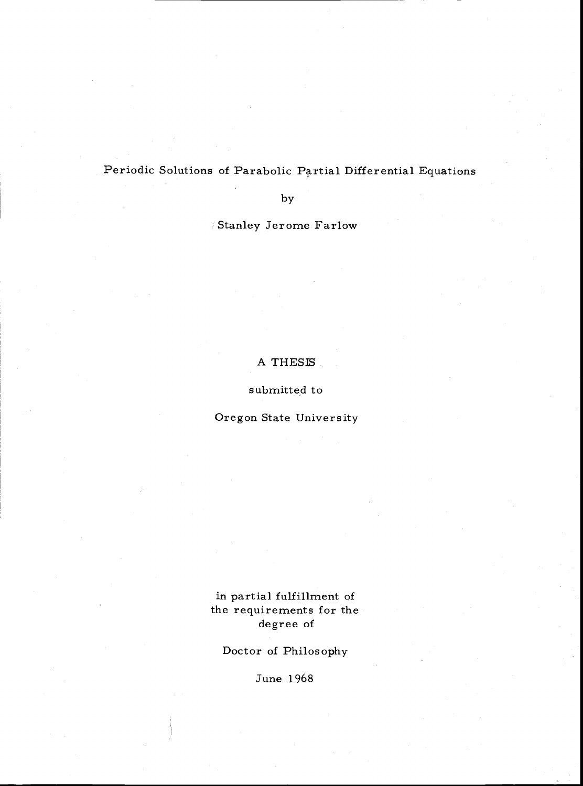Periodic Solutions of Parabolic Partial Differential Equations

by

Stanley Jerome Farlow

## A THESIS

submitted to

Oregon State University

# in partial fulfillment of the requirements for the degree of

Doctor of Philosophy

June 1968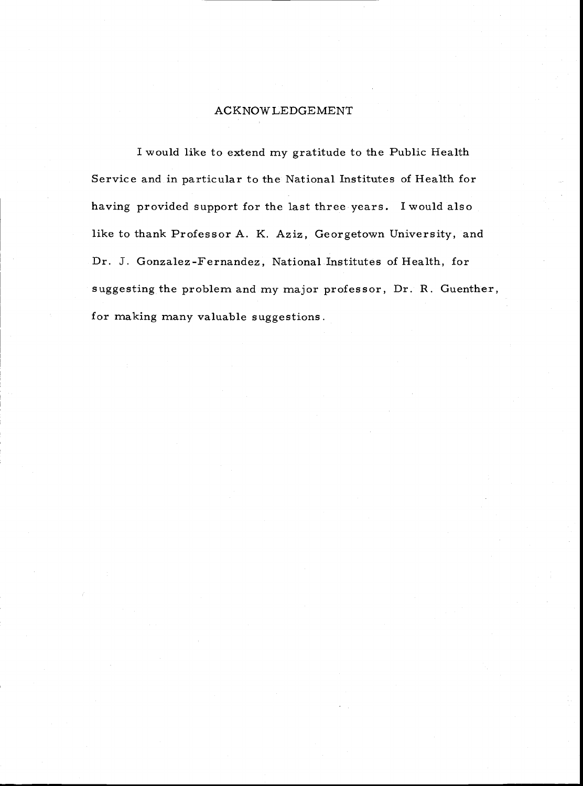#### ACKNOWLEDGEMENT

I would like to extend my gratitude to the Public Health Service and in particular to the National Institutes of Health for having provided support for the last three years. Iwould also like to thank Professor A. K. Aziz, Georgetown University, and Dr. J. Gonzalez-Fernandez, National Institutes of Health, for suggesting the problem and my major professor, Dr. R. Guenther, for making many valuable suggestions.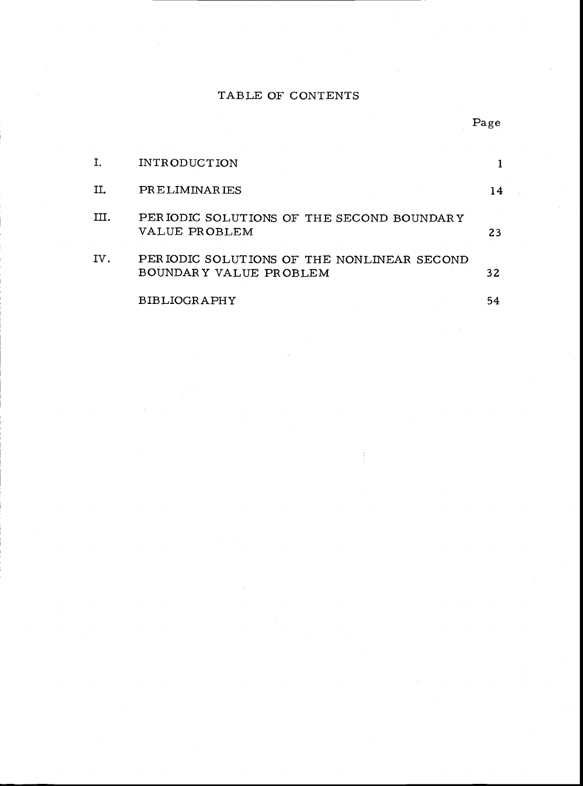# TABLE OF CONTENTS

|     | <b>INTRODUCTION</b>                                                   |    |
|-----|-----------------------------------------------------------------------|----|
| П.  | PRELIMINARIES                                                         | 14 |
| II. | PERIODIC SOLUTIONS OF THE SECOND BOUNDARY<br>VALUE PROBLEM            | 23 |
| IV. | PER IODIC SOLUTIONS OF THE NONLINEAR SECOND<br>BOUNDARY VALUE PROBLEM | 32 |
|     | <b>BIBLIOGRAPHY</b>                                                   | 54 |

Page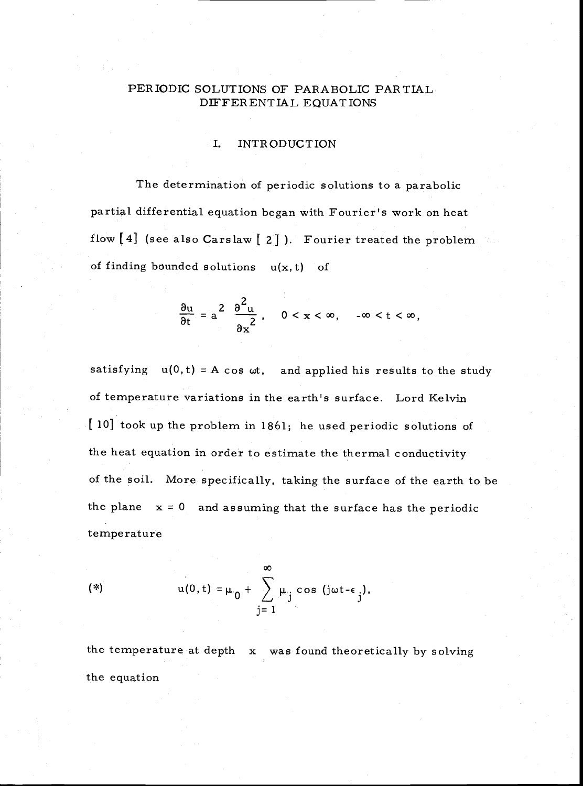## PERIODIC SOLUTIONS OF PARABOLIC PARTIAL DIFFERENTIAL EQUATIONS

#### I. INTRODUCTION

The determination of periodic solutions to a parabolic partial differential equation began with Fourier's work on heat flow [4] (see also Carslaw [ 2] ). Fourier treated the problem of finding bounded solutions  $u(x, t)$  of

$$
\frac{\partial u}{\partial t} = a^2 \frac{\partial^2 u}{\partial x^2}, \quad 0 < x < \infty, \quad -\infty < t < \infty,
$$

satisfying  $u(0,t) = A \cos \omega t$ , and applied his results to the study of temperature variations in the earth's surface. Lord Kelvin [10] took up the problem in 1861; he used periodic solutions of the heat equation in order to estimate the thermal conductivity of the soil. More specifically, taking the surface of the earth to be the plane  $x = 0$  and assuming that the surface has the periodic temperature

(\*) 
$$
u(0, t) = \mu_0 + \sum_{j=1}^{\infty} \mu_j \cos (j\omega t - \epsilon_j),
$$

the equation the temperature at depth x was found theoretically by solving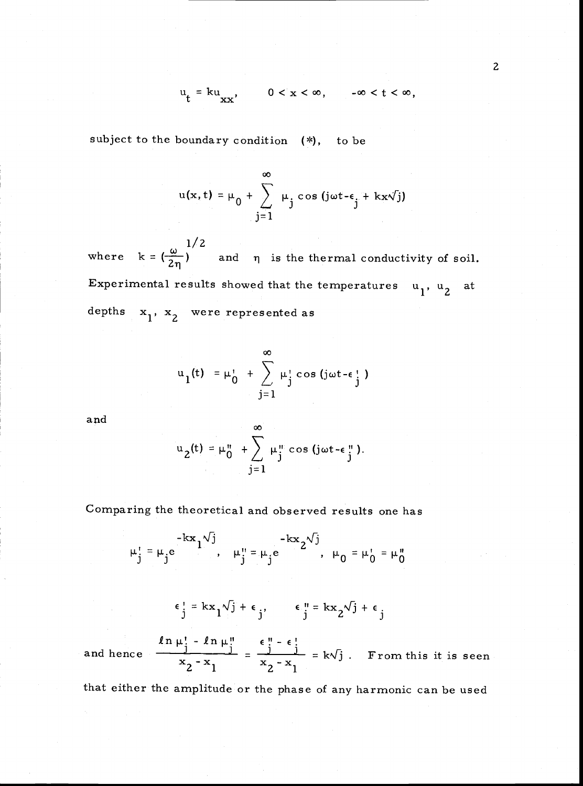$$
u_t = ku_{XX}, \t 0 < x < \infty, \t -\infty < t < \infty,
$$

subject to the boundary condition (\*), to be

$$
u(x, t) = \mu_0 + \sum_{j=1}^{\infty} \mu_j \cos(j\omega t - \epsilon_j + kx\sqrt{j})
$$

 $1/2$ where  $k = \left(\frac{\omega}{2n}\right)^n$  and  $\eta$  is the thermal conductivity of soil. Experimental results showed that the temperatures  $u_1, u_2$  at depths  $x_1$ ,  $x_2$  were represented as

$$
u_1(t) = \mu_0' + \sum_{j=1}^{\infty} \mu_j' \cos(j\omega t - \epsilon_j')
$$

and

$$
u_2(t) = \mu_0 + \sum_{j=1}^{\infty} \mu_j^m \cos(j\omega t - \epsilon_j^m).
$$

Comparing the theoretical and observed results one has

$$
\mu_j^1 = \mu_j e^{-kx} \left[ \begin{array}{ccc} -kx & -kx & -kx^2 \\ 0 & 0 & \mu_j^1 \end{array} \right]
$$
\n
$$
\mu_j^1 = kx_j - k \left[ \begin{array}{ccc} -kx & -kx^2 \\ 0 & 0 \end{array} \right]
$$
\n
$$
\mu_j^1 = kx_j - k \left[ \begin{array}{ccc} \frac{\epsilon_j^1}{j} & -kx^2 & \frac{\epsilon_j^1}{j} & \frac{\epsilon_j^1}{j} & \frac{\epsilon_j^1}{j} & \frac{\epsilon_j^1}{j} \\ 0 & 0 & 0 & \frac{\epsilon_j^1}{j} & \frac{\epsilon_j^1}{j} & \frac{\epsilon_j^1}{j} \\ 0 & 0 & 0 & \frac{\epsilon_j^1}{j} & \frac{\epsilon_j^1}{j} & \frac{\epsilon_j^1}{j} \\ 0 & 0 & 0 & 0 & \frac{\epsilon_j^1}{j} & \frac{\epsilon_j^1}{j} \\ 0 & 0 & 0 & 0 & \frac{\epsilon_j^1}{j} & \frac{\epsilon_j^1}{j} & \frac{\epsilon_j^1}{j} \\ 0 & 0 & 0 & 0 & \frac{\epsilon_j^1}{j} & \frac{\epsilon_j^1}{j} & \frac{\epsilon_j^1}{j} \\ 0 & 0 & 0 & 0 & \frac{\epsilon_j^1}{j} & \frac{\epsilon_j^1}{j} & \frac{\epsilon_j^1}{j} \\ 0 & 0 & 0 & 0 & 0 & \frac{\epsilon_j^1}{j} & \frac{\epsilon_j^1}{j} & \frac{\epsilon_j^1}{j} & \frac{\epsilon_j^1}{j} & \frac{\epsilon_j^1}{j} & \frac{\epsilon_j^1}{j} & \frac{\epsilon_j^1}{j} & \frac{\epsilon_j^1}{j} & \frac{\epsilon_j^1}{j} & \frac{\epsilon_j^1}{j} & \frac{\epsilon_j^1}{j} & \frac{\epsilon_j^1}{j} & \frac{\epsilon_j^1}{j} & \frac{\epsilon_j^1}{j} & \frac{\epsilon_j^1}{j} & \frac{\epsilon_j^1}{j} & \frac{\epsilon_j^1}{j} & \frac{\epsilon_j^1}{j} & \frac{\epsilon_j^1}{j} & \frac{\epsilon_j^1}{j} & \frac{\epsilon_j^1}{j} & \frac{\epsilon_j^1}{j} & \frac{\epsilon_j^1}{j} & \frac{\epsilon_j^1}{j} & \frac{\epsilon_j^1}{j} & \frac{\epsilon_j^1}{j} & \frac{\epsilon_j^1
$$

that either the amplitude or the phase of any harmonic can be used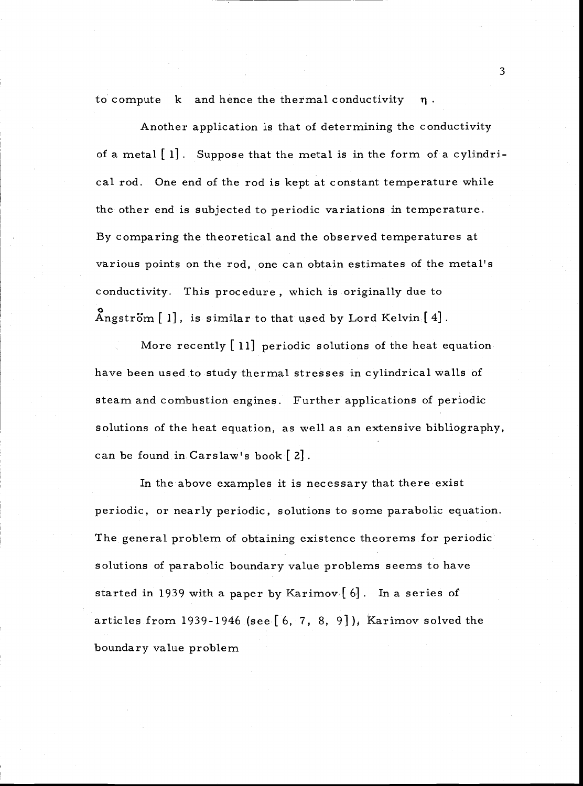to compute  $k$  and hence the thermal conductivity  $n$ .

Another application is that of determining the conductivity of a metal  $[1]$ . Suppose that the metal is in the form of a cylindrical rod. One end of the rod is kept at constant temperature while the other end is subjected to periodic variations in temperature. By comparing the theoretical and the observed temperatures at various points on the rod, one can obtain estimates of the metal's conductivity. This procedure, which is originally due to Angström  $[1]$ , is similar to that used by Lord Kelvin  $[4]$ .

More recently [11] periodic solutions of the heat equation have been used to study thermal stresses in cylindrical walls of steam and combustion engines. Further applications of periodic solutions of the heat equation, as well as an extensive bibliography, can be found in Carslaw's book [ 2].

In the above examples it is necessary that there exist periodic, or nearly periodic, solutions to some parabolic equation. The general problem of obtaining existence theorems for periodic solutions of parabolic boundary value problems seems to have started in 1939 with a paper by Karimov  $[6]$ . In a series of articles from 1939-1946 (see  $[6, 7, 8, 9]$ ), Karimov solved the boundary value problem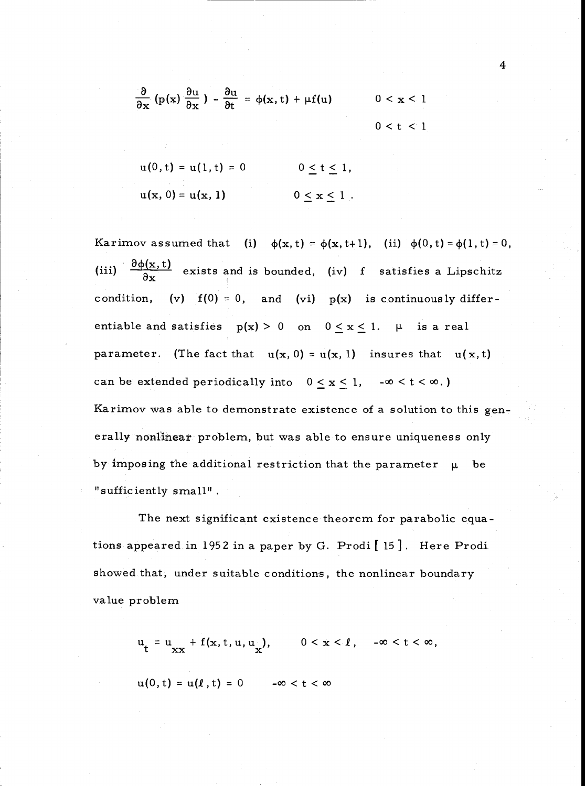$$
\frac{\partial}{\partial x} (p(x) \frac{\partial u}{\partial x}) - \frac{\partial u}{\partial t} = \phi(x, t) + \mu f(u) \qquad 0 < x < 1
$$
\n
$$
0 < t < 1
$$

$$
u(0, t) = u(1, t) = 0 \t 0 \le t \le 1,
$$
  

$$
u(x, 0) = u(x, 1) \t 0 \le x \le 1.
$$

Karimov assumed that (i)  $\phi(x,t) = \phi(x,t+1)$ , (ii)  $\phi(0,t) = \phi(1,t) = 0$ , (iii)  $\frac{\partial \phi(x,t)}{\partial x}$  exists and is bounded, (iv) f satisfies a Lipschitz condition, (v)  $f(0) = 0$ , and (vi)  $p(x)$  is continuously differentiable and satisfies  $p(x) > 0$  on  $0 \le x \le 1$ .  $\mu$  is a real parameter. (The fact that  $u(x, 0) = u(x, 1)$  insures that  $u(x, t)$ can be extended periodically into  $0 \le x \le 1$ ,  $-\infty < t < \infty$ .) Karimov was able to demonstrate existence of a solution to this generally nonlinear problem, but was able to ensure uniqueness only by imposing the additional restriction that the parameter  $\mu$  be "sufficiently small"

The next significant existence theorem for parabolic equations appeared in 1952 in a paper by G. Prodi [15 J. Here Prodi showed that, under suitable conditions, the nonlinear boundary value problem

 $u_t = u_{xx} + f(x, t, u, u_x),$   $0 < x < l$ ,  $-\infty < t < \infty$ ,

 $u(0, t) = u(l, t) = 0$   $-\infty < t < \infty$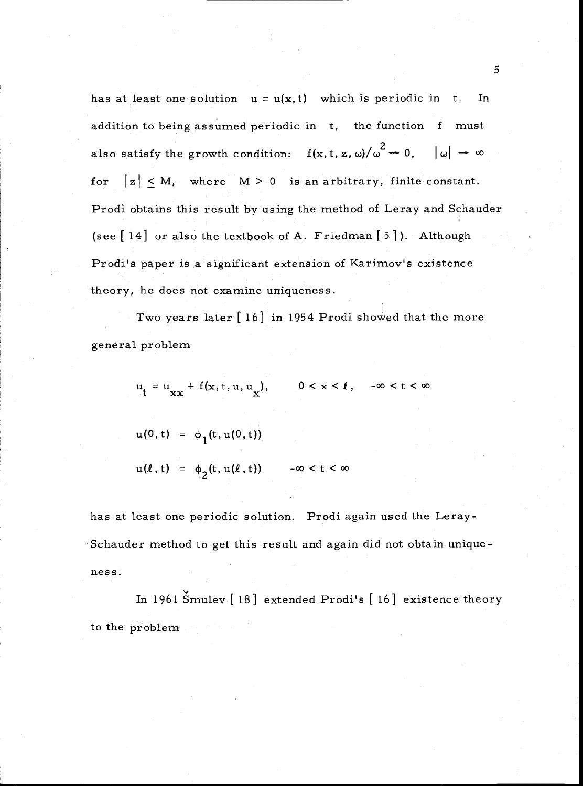has at least one solution  $u = u(x, t)$  which is periodic in t. In addition to being assumed periodic in t, the function f must also satisfy the growth condition:  $f(x, t, z, \omega)/\omega^2 \to 0$ ,  $|\omega| \to$ for  $|z| \leq M$ , where  $M > 0$  is an arbitrary, finite constant. Prodi obtains this result by using the method of Leray and Schauder (see[ 14] or also the textbook of A. Friedman [5]). Although Prodi's paper is a significant extension of Karimov's existence theory, he does not examine uniqueness.

Two years later [16] in 1954 Prodi showed that the more general problem

 $u_t = u_{xx} + f(x, t, u, u_x),$   $0 < x < l, -\infty < t < \infty$ 

$$
u(0, t) = \phi_1(t, u(0, t))
$$
  
 
$$
u(\ell, t) = \phi_2(t, u(\ell, t)) \qquad -\infty < t < \infty
$$

has at least one periodic solution. Prodi again used the Leray-Schauder method to get this result and again did not obtain uniqueness.

In 1961 Smulev [18] extended Prodi's [16] existence theory to the problem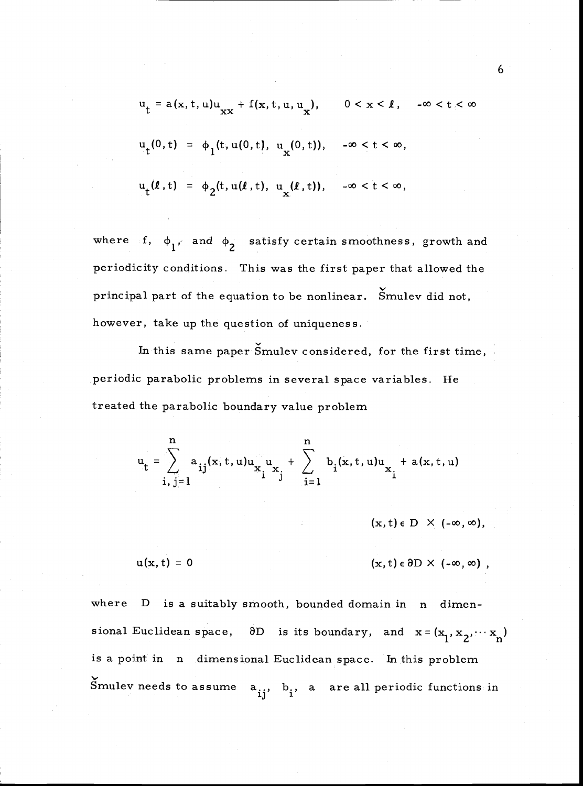$$
u_{t} = a(x, t, u)u_{xx} + f(x, t, u, u_{x}), \qquad 0 < x < \ell, \quad -\infty < t < \infty
$$
  

$$
u_{t}(0, t) = \phi_{1}(t, u(0, t), u_{x}(0, t)), \qquad -\infty < t < \infty,
$$
  

$$
u_{t}(\ell, t) = \phi_{2}(t, u(\ell, t), u_{x}(\ell, t)), \qquad -\infty < t < \infty,
$$

where f,  $\phi_1$ , and  $\phi_2$  satisfy certain smoothness, growth and periodicity conditions. This was the first paper that allowed the principal part of the equation to be nonlinear. Smulev did not, however, take up the question of uniqueness.

In this same paper Smulev considered, for the first time, periodic parabolic problems in several space variables. He treated the parabolic boundary value problem

$$
u_{t} = \sum_{i,j=1}^{n} a_{ij}(x, t, u)u_{x_{i}^{u}x_{j}} + \sum_{i=1}^{n} b_{i}(x, t, u)u_{x_{i}^{u}} + a(x, t, u)
$$

 $(x, t) \in D \times (-\infty, \infty)$ ,

 $u(x, t) = 0$  (x, t)  $\in \partial D \times (-\infty, \infty)$ ,

where D is a suitably smooth, bounded domain in n dimensional Euclidean space,  $\partial D$  is its boundary, and  $x = (x_1, x_2, \dots, x_n)$ is a point in n dimensional Euclidean space. In this problem Smulev needs to assume  $a_{ij}$ ,  $b_i$ , a are all periodic functions in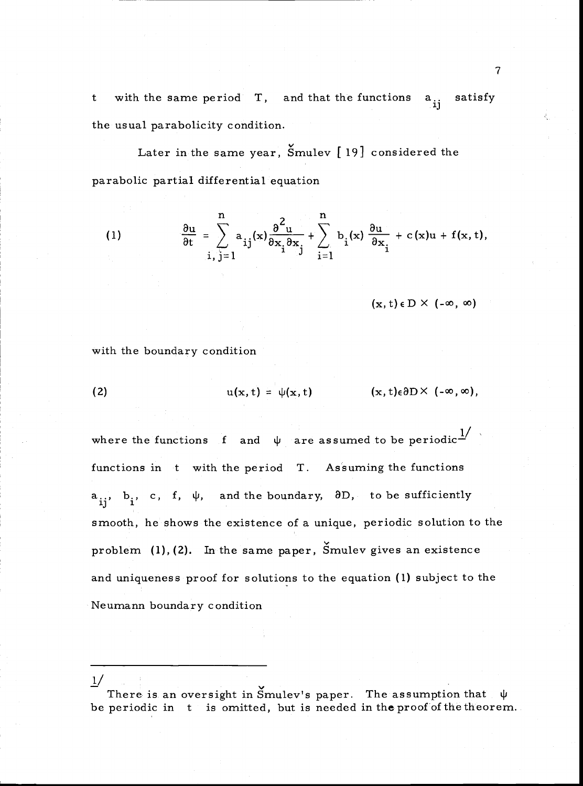t with the same period  $T$ , and that the functions  $a_{ij}$  satisfy the usual parabolicity condition.

Later in the same year, Smulev [ 19] considered the parabolic partial differential equation

(1) 
$$
\frac{\partial u}{\partial t} = \sum_{i,j=1}^{n} a_{ij}(x) \frac{\partial^{2} u}{\partial x_{i} \partial x_{j}} + \sum_{i=1}^{n} b_{i}(x) \frac{\partial u}{\partial x_{i}} + c(x)u + f(x,t),
$$

 $(\mathbf{x}, t) \in \mathbb{D} \times (-\infty, \infty)$ 

with the boundary condition

 $1/$ 

(2) 
$$
u(x,t) = \psi(x,t) \qquad (x,t) \varepsilon \partial D \times (-\infty,\infty),
$$

where the functions f and  $\psi$  are assumed to be periodic<sup>1</sup> functions in t with the period T. Assuming the functions  $a_{ij}$ ,  $b_i$ , c, f,  $\psi$ , and the boundary,  $\partial D$ , to be sufficiently smooth, he shows the existence of a unique, periodic solution to the problem  $(1)$ ,  $(2)$ . In the same paper, Smulev gives an existence and uniqueness proof for solutions to the equation (1) subject to the Neumann boundary condition

There is an oversight in Smulev's paper. The assumption that  $\psi$ be periodic in t is omitted, but is needed in the proof of the theorem.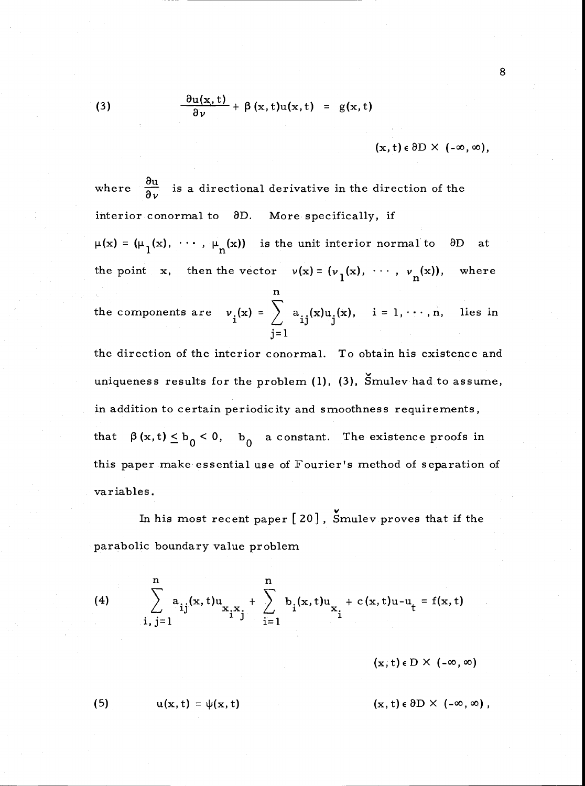(3) 
$$
\frac{\partial u(x,t)}{\partial v} + \beta(x,t)u(x,t) = g(x,t)
$$

$$
(\mathbf{x},t)\in\partial D\times(-\infty,\infty),
$$

where  $\frac{\partial u}{\partial v}$  is a directional derivative in the direction of the interior conormal to  $\partial D$ . More specifically, if  $\mu(x) = (\mu_1(x), \dots, \mu_n(x))$  is the unit interior normal to  $\partial D$ 

the point x, then the vector  $v(x) = (v_1(x), \dots, v_n(x))$ , where n and a strong strong strong strong strong strong strong strong strong strong strong strong strong strong strong strong strong strong strong strong strong strong strong strong strong strong strong strong strong strong stro

the components are  $v_i(x) = \begin{cases} \begin{cases} a_{i,i}(x) \end{cases}$  $j=1$  $a_{ij}(x)u_j(x), \quad i = 1, \cdots, n,$  lies in

the direction of the interior conormal. To obtain his existence and uniqueness results for the problem (1), (3), Smulev had to assume, in addition to certain periodicity and smoothness requirements, that  $\beta(x, t) \leq b_0 < 0$ ,  $b_0$  a constant. The existence proofs in this paper make essential use of Fourier's method of separation of variables.

In his most recent paper  $[20]$ , Smulev proves that if the parabolic boundary value problem

(4) 
$$
\sum_{i,j=1}^{n} a_{ij}(x,t)u_{x_ix_j} + \sum_{i=1}^{n} b_i(x,t)u_{x_i} + c(x,t)u - u_t = f(x,t)
$$

 $(x, t) \in D \times (-\infty, \infty)$ 

(5) 
$$
u(x, t) = \psi(x, t) \qquad (x, t) \in \partial D \times (-\infty, \infty),
$$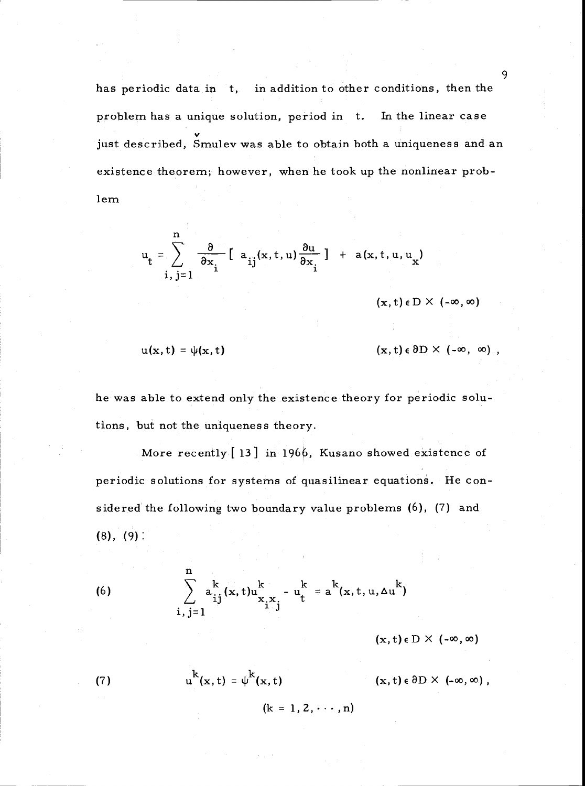has periodic data in t, in addition to other conditions, then the problem has a unique solution, period in t. In the linear case just described, Smulev was able to obtain both a uniqueness and an existence theorem; however, when he took up the nonlinear problern

$$
u_t = \sum_{i,j=1}^{n} \frac{\partial}{\partial x_i} \left[ a_{ij}(x,t,u) \frac{\partial u}{\partial x_i} \right] + a(x,t,u,u_x)
$$

 $(x, t) \in D \times (-\infty, \infty)$ 

$$
u(x, t) = \psi(x, t) \qquad (x, t) \in \partial D \times (-\infty, \infty) ,
$$

he was able to extend only the existence theory for periodic solutions, but not the uniqueness theory.

More recently [13] in 1966, Kusano showed existence of periodic solutions for systems of quasilinear equations. He considered the following two boundary value problems (6), (7) and (8), (9):

(6) 
$$
\sum_{i,j=1}^{n} a_{ij}^{k}(x,t)u_{x_ix_j}^{k} - u_{t}^{k} = a^{k}(x,t,u,\Delta u^{k})
$$

 $(x, t) \in D \times (-\infty, \infty)$ 

(7) 
$$
u^{k}(x, t) = \psi^{k}(x, t)
$$

 $(\mathbf{x}, t) \in \partial D \times (-\infty, \infty)$ ,

 $(k = 1, 2, \dots, n)$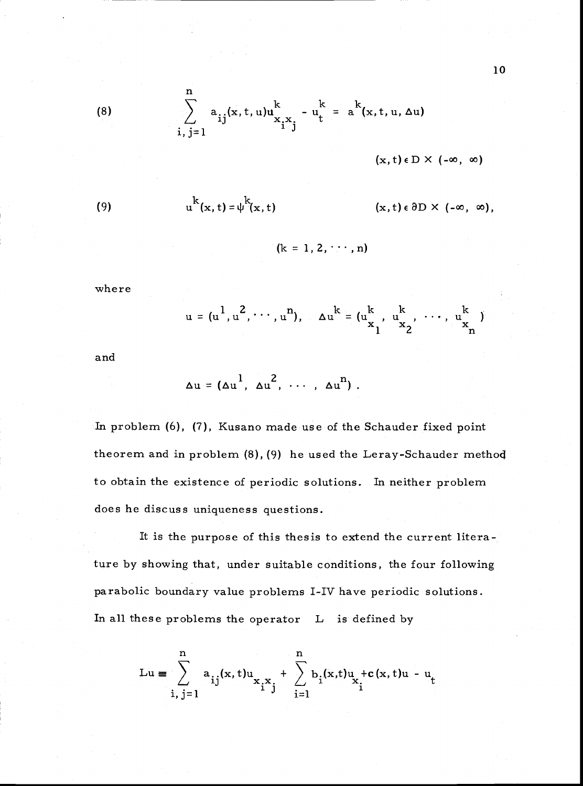$$
\sum_{i,j=1}^{n} a_{ij}(x,t,u)u_{x_ix_j}^k - u_t^k = a^k(x,t,u,\Delta u)
$$

$$
(\mathbf{x},\mathbf{t})\,\epsilon\,\mathbf{D}\,\times\,\left(-\infty\,,\,\infty\right)
$$

 $(x, t) \in \partial D \times (-\infty, \infty)$ ,

(9) 
$$
u^{k}(x, t) = \psi^{k}(x, t)
$$

 $(k = 1, 2, \dots, n)$ 

where

(8)

$$
u = (u^{1}, u^{2}, \cdots, u^{n}), \quad \Delta u^{k} = (u^{k}_{x_{1}}, u^{k}_{x_{2}}, \cdots, u^{k}_{x_{n}})
$$

and

$$
\Delta u = (\Delta u^1, \ \Delta u^2, \ \cdots, \ \Delta u^n).
$$

In problem (6), (7), Kusano made use of the Schauder fixed point theorem and in problem (8), (9) he used the Leray-Schauder method to obtain the existence of periodic solutions. In neither problem does he discuss uniqueness questions.

It is the purpose of this thesis to extend the current literature by showing that, under suitable conditions, the four following parabolic boundary value problems I-IV have periodic solutions. In all these problems the operator L is defined by

$$
Lu = \sum_{i,j=1}^{n} a_{ij}(x,t)u_{x_ix_j} + \sum_{i=1}^{n} b_{i}(x,t)u_{x_i} + c(x,t)u - u_t
$$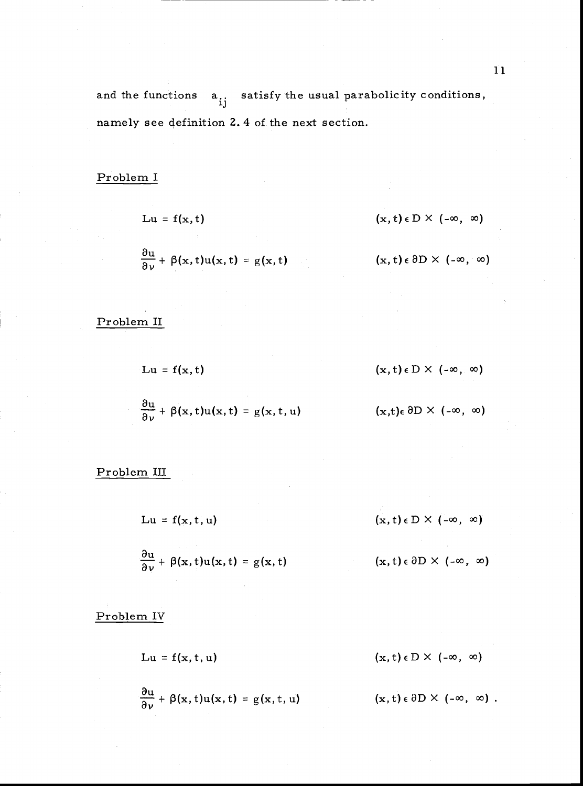# Problem I

$$
Lu = f(x, t)
$$
 (x, t)  $\in D \times (-\infty, \infty)$   

$$
\frac{\partial u}{\partial v} + \beta(x, t)u(x, t) = g(x, t)
$$
 (x, t)  $\in \partial D \times (-\infty, \infty)$ 

Problem II

$$
Lu = f(x, t) \qquad (x, t) \in D \times (-\infty, \infty)
$$

$$
\frac{\partial u}{\partial \nu} + \beta(x, t) u(x, t) = g(x, t, u)
$$
 (x,t)  $\in$  0D × (- $\infty$ ,  $\infty$ )

Problem III

$$
Lu = f(x, t, u) \qquad (x, t) \in D \times (-\infty, \infty)
$$

$$
\frac{\partial u}{\partial v} + \beta(x, t)u(x, t) = g(x, t) \qquad (x, t) \in \partial D \times (-\infty, \infty)
$$

Problem IV

$$
Lu = f(x, t, u) \qquad (x, t) \in D \times (-\infty, \infty)
$$

$$
\frac{\partial u}{\partial \nu} + \beta(x, t) u(x, t) = g(x, t, u) \qquad (x, t) \in \partial D \times (-\infty, \infty).
$$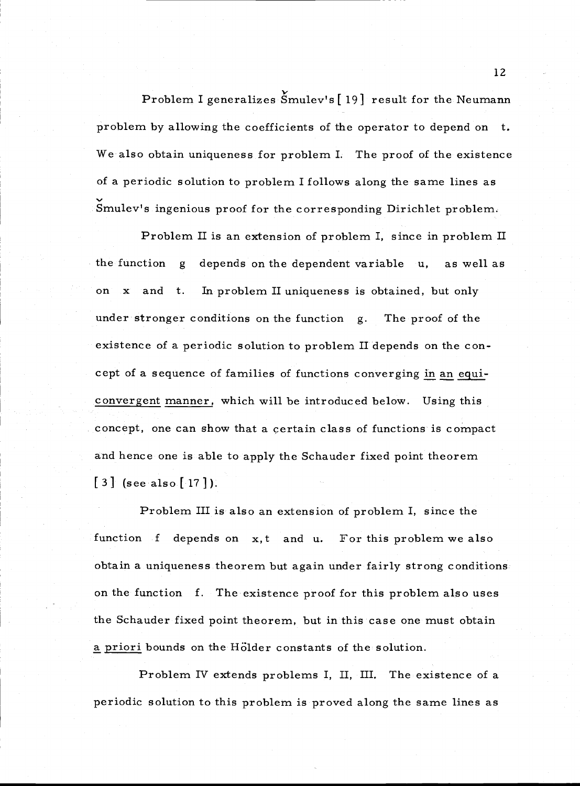Problem I generalizes Smulev's{ 191 result for the Neumann problem by allowing the coefficients of the operator to depend on t. We also obtain uniqueness for problem I. The proof of the existence of a periodic solution to problem I follows along the same lines as Smulev's ingenious proof for the corresponding Dirichlet problem.

Problem II is an extension of problem I, since in problem II the function  $g$  depends on the dependent variable u, as well as x and t. In problem II uniqueness is obtained, but only under stronger conditions on the function g. The proof of the existence of a periodic solution to problem II depends on the concept of a sequence of families of functions converging in an equiconvergent manner, which will be introduced below. Using this concept, one can show that a certain class of functions is compact and hence one is able to apply the Schauder fixed point theorem  $\begin{bmatrix} 3 \end{bmatrix}$  (see also  $\begin{bmatrix} 17 \end{bmatrix}$ ).

Problem III is also an extension of problem I, since the function f depends on x,t and u. For this problem we also obtain a uniqueness theorem but again under fairly strong conditions: on the function f. The existence proof for this problem also uses the Schauder fixed point theorem, but inthiscase one must obtain a priori bounds on the Hölder constants of the solution.

Problem IV extends problems I, II, III. The existence of a periodic solution to this problem is proved along the same lines as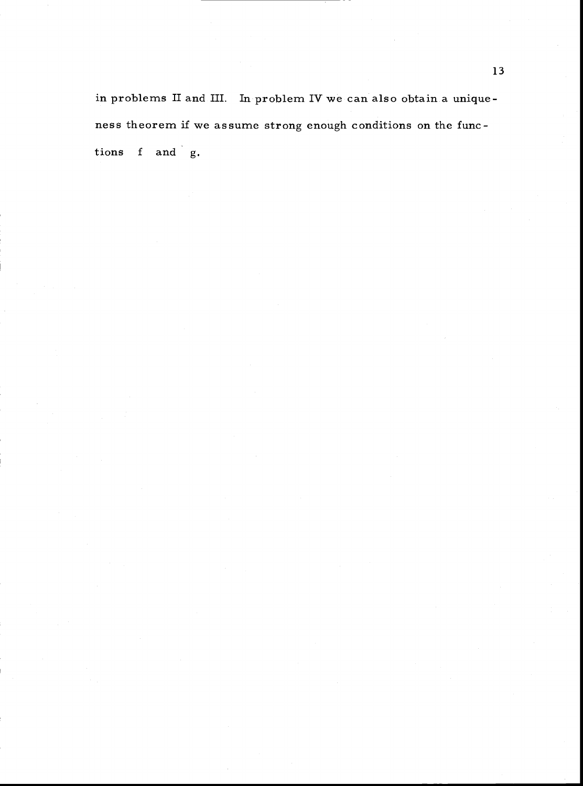in problems II and III. In problem IV we can also obtain a uniqueness theorem if we assume strong enough conditions on the functions f and g.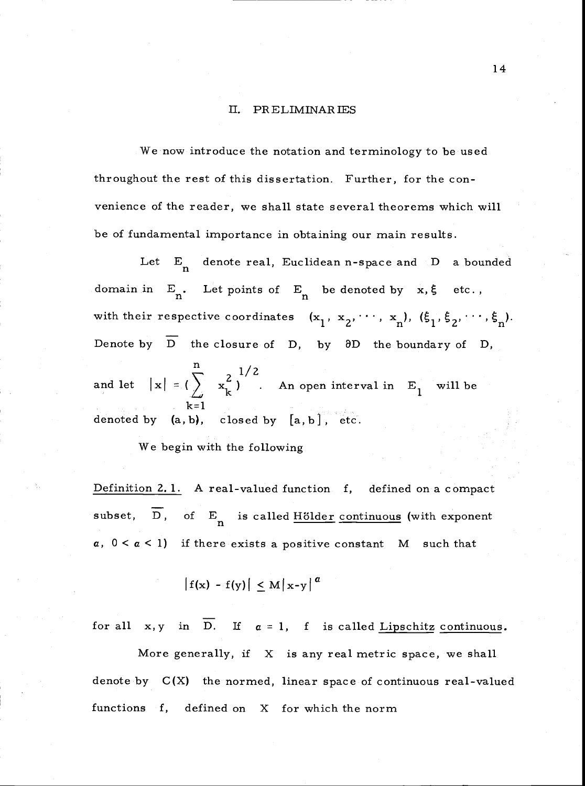#### II. PRELIMINARIES

We now introduce the notation and terminology to be used throughout the rest of this dissertation. Further, for the convenience of the reader, we shall state several theorems which will be of fundamental importance in obtaining our main results.

 $\quad \text{and let} \quad |\mathbf{x}| = \left(\ \right)$  $\sum_{1}^{n}$  2  $\sum_{1}^{1/2}$ Let  $E_n$  denote real, Euclidean n-space and D a bounded domain in  $E_n$ . Let points of  $E_n$  be denoted by  $x, \xi$  etc., with their respective coordinates  $(x_1, x_2, \dots, x_n)$ ,  $(\xi_1, \xi_2, \dots, \xi_n)$ . Denote by  $\overline{D}$  the closure of D, by  $\partial D$  the boundary of D,  $\mathbf{x}_{\mathbf{k}}^2$ ) . An open interval in  $\mathbf{E}_1$  will  $\begin{array}{cc} \n\swarrow & \kappa \\
k=1 & \n\end{array}$ denoted by  $(a, b)$ , closed by  $[a, b]$ , etc. will be will be a set of  $\mathbb{R}^n$ 

We begin with the following

Definition 2.1. A real-valued function f, defined on a compact subset,  $\overline{D}$ , of  $E_n$  is called Hölder continuous (with exponent  $a, 0 < a < 1$ ) if there exists a positive constant M such that

$$
|f(x) - f(y)| \leq M |x-y|^a
$$

for all  $x, y$  in  $\overline{D}$ . If  $a = 1$ , f is called Lipschitz continuous.

More generally, if  $X$  is any real metric space, we shall denote by  $C(X)$  the normed, linear space of continuous real-valued functions f, defined on X for which the norm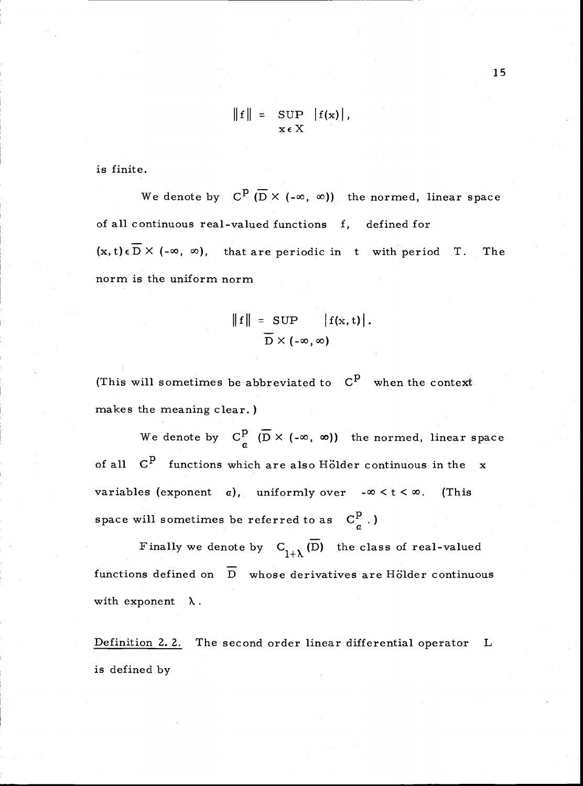$$
\|\mathbf{f}\| = \sup_{\mathbf{x} \in X} |\mathbf{f}(\mathbf{x})|,
$$

is finite.

We denote by  $C^{\underline{p}}(\overline{D} \times (-\infty, \infty))$  the normed, linear space of all continuous real-valued functions f, defined for  $(x, t) \in \overline{D} \times (-\infty, \infty)$ , that are periodic in t with period T. The norm is the uniform norm

$$
\|f\| = \text{SUP} \left| f(x, t) \right|.
$$

$$
\overline{D} \times (-\infty, \infty)
$$

(This will sometimes be abbreviated to  $C<sup>p</sup>$  when the context makes the meaning clear.)

We denote by  $C_a^p$   $(\overline{D} \times (-\infty, \infty))$  the normed, linear space of all  $C^P$  functions which are also Hölder continuous in the x variables (exponent a), uniformly over  $-\infty < t < \infty$ . (This space will sometimes be referred to as  $C_q^p$ .)

Finally we denote by  $C_{1+\lambda}(\overline{D})$  the class of real-valued functions defined on  $\overline{D}$  whose derivatives are Hölder continuous with exponent  $\lambda$ .

Definition 2.2. The second order linear differential operator L is defined by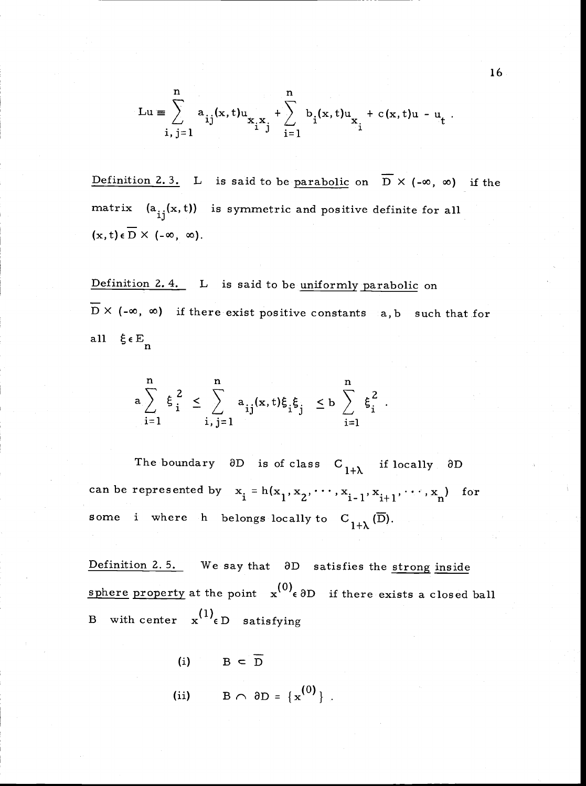$$
Lu \equiv \sum_{i,j=1}^{n} a_{ij}(x,t)u_{x_ix_j} + \sum_{i=1}^{n} b_i(x,t)u_{x_i} + c(x,t)u - u_t.
$$

Definition 2.3. L is said to be parabolic on  $\overline{D}$  X (- $\infty$ ,  $\infty$ ) if the matrix  $(a_{ij}(x,t))$  is symmetric and positive definite for all  $(\mathbf{x}, t) \in \overline{\mathbf{D}} \times (-\infty, \infty).$ 

Definition 2.4. L is said to be uniformly parabolic on  $\overline{D}$  X (- $\infty$ ,  $\infty$ ) if there exist positive constants a,b such that for all  $\xi \in E_n$ 

$$
a\sum_{i=1}^n \xi_i^2 \leq \sum_{i,j=1}^n a_{ij}(x,t)\xi_i\xi_j \leq b\sum_{i=1}^n \xi_i^2.
$$

The boundary  $\partial D$  is of class  $C_{1+\lambda}$  if locally  $\partial D$ can be represented by  $x_i = h(x_1, x_2, \dots, x_{i-1}, x_{i+1}, \dots, x_n)$  for some i where h belongs locally to  $C_{1+\lambda}(\overline{D})$ .

Definition 2.5. We say that  $\partial D$  satisfies the strong inside sphere property at the point  $x^{(0)}$   $\epsilon$   $\partial D$  if there exists a closed ball B with center  $x^{(1)}\epsilon D$  satisfying

- (i)  $B \subset \overline{D}$
- (ii)  $B \cap \partial D = \{x^{(0)}\}$ .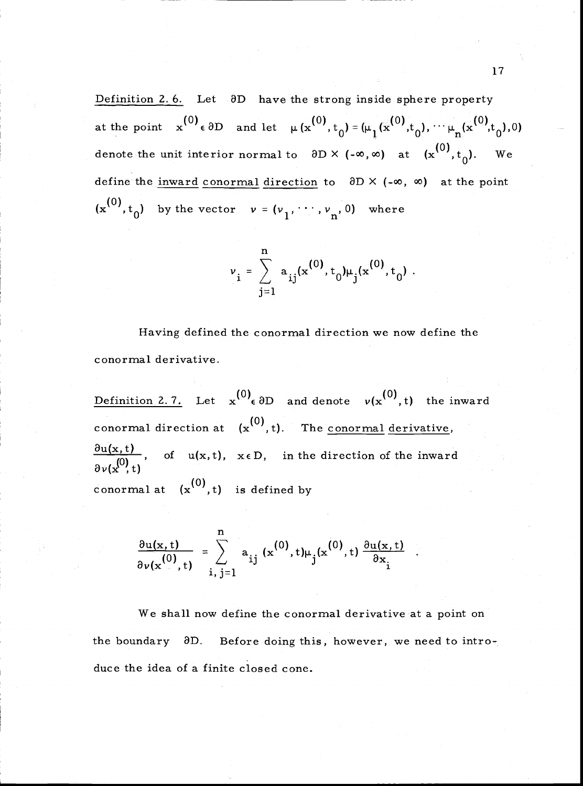Definition 2.6. Let  $\partial D$  have the strong inside sphere property at the point  $\mathbf{x}^{(0)} \in \partial D$  and let  $\mu(\mathbf{x}^{(0)}, t_{0}) = (\mu_{1}(\mathbf{x}^{(0)}, t_{0}), \cdots \mu_{n})$ denote the unit interior normal to  $\partial D \times (-\infty, \infty)$  at  $(x^{(0)}, t_{0}).$  We define the <u>inward conormal direction</u> to  $\partial D \times (-\infty, \infty)$  at the point  $(x^{(0)}, t_0)$  by the vector  $v = (v_1, \dots, v_n, 0)$  where

$$
v_{i} = \sum_{j=1}^{n} a_{ij} (x^{(0)}, t_0) \mu_j (x^{(0)}, t_0) .
$$

Having defined the conormal direction we now define the conormal derivative.

Definition 2.7. Let  $x^{(0)}$  and denote  $v(x^{(0)},t)$  the inward conormal direction at  $(x^{(0)}, t)$ . The <u>conormal derivative</u>,  $\frac{\partial u(x,t)}{\partial x}$ , of  $u(x,t)$ ,  $x \in D$ , in the direction of the inward t) conormal at  $(x^{(0)},t)$  is defined by

$$
\frac{\partial u(\mathbf{x},t)}{\partial v(\mathbf{x}^{(0)},t)} = \sum_{i,j=1}^{n} a_{ij} (\mathbf{x}^{(0)},t) \mu_j(\mathbf{x}^{(0)},t) \frac{\partial u(\mathbf{x},t)}{\partial \mathbf{x}_i} .
$$

We shall now define the conormal derivative at a point on the boundary 3D. Before doing this, however, we need to introduce the idea of a finite closed cone.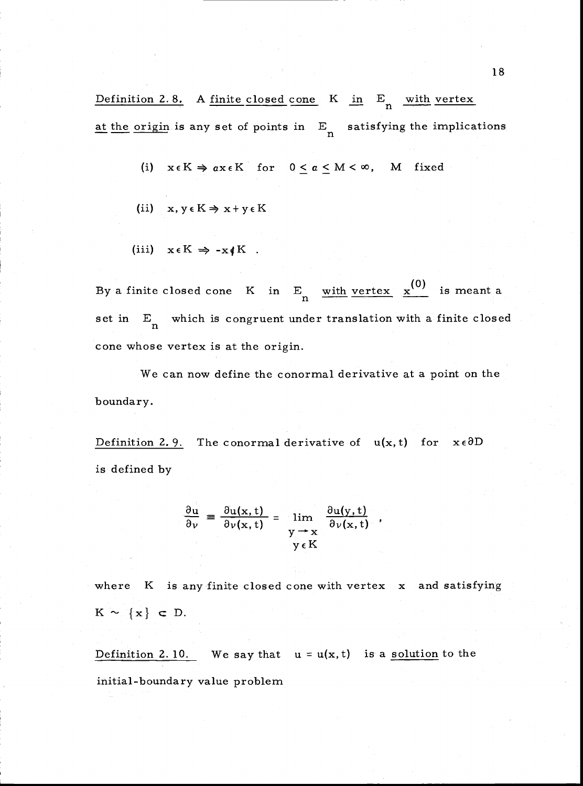Definition 2.8. A finite closed cone K in E<sub>n</sub> with vertex at the origin is any set of points in  $E_n$  satisfying the implications

- (i)  $x \in K \Rightarrow ax \in K$  for  $0 \le a \le M < \infty$ , M fixed
- (ii)  $x, y \in K \Rightarrow x + y \in K$

$$
(iii) \t x \in K \Rightarrow -x \notin K .
$$

By a finite closed cone K in  $E_n$  with vertex  $x^{(0)}$  is meant a set in E<sub>n</sub> which is congruent under translation with a finite closed cone whose vertex is at the origin.

We can now define the conormal derivative at a point on the boundary.

Definition 2.9. The conormal derivative of  $u(x, t)$  for  $x \in \partial D$ is defined by

$$
\frac{\partial u}{\partial \nu} = \frac{\partial u(x, t)}{\partial \nu(x, t)} = \lim_{\substack{y \to x \\ y \in K}} \frac{\partial u(y, t)}{\partial \nu(x, t)},
$$

where K is any finite closed cone with vertex x and satisfying  $K \sim \{x\} \subset D.$ 

Definition 2.10. We say that  $u = u(x, t)$  is a solution to the

initial-boundary value problem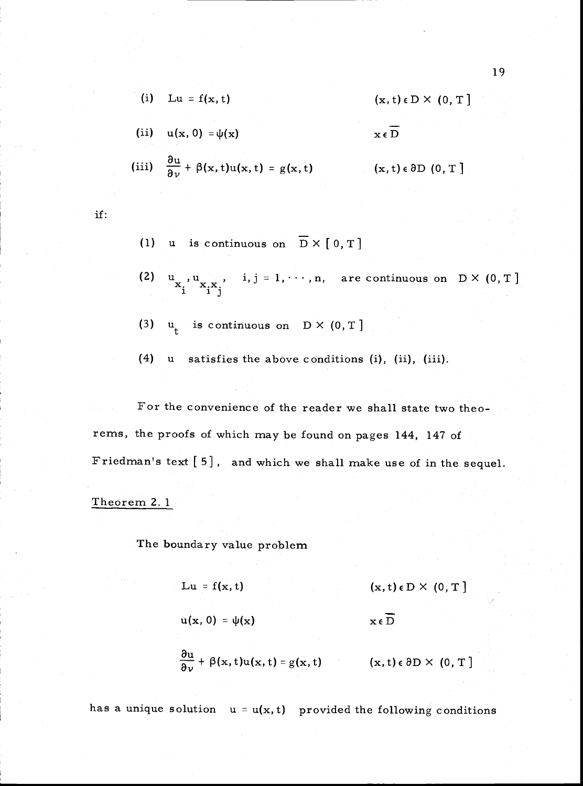(i) 
$$
Lu = f(x, t)
$$
  $(x, t) \in D \times (0, T]$ 

(ii) 
$$
u(x, 0) = \psi(x)
$$
  $x \in \overline{D}$ 

(iii) 
$$
\frac{\partial u}{\partial \nu} + \beta(x, t)u(x, t) = g(x, t)
$$
  $(x, t) \in \partial D \quad (0, T]$ 

if:

- (1) u is continuous on  $\overline{D} \times [0, T]$
- $\mathbf{u}_{\mathbf{x}_1}, \mathbf{u}_{\mathbf{x}_2}, \dots, \mathbf{x}_i, \mathbf{y}_j = 1, \dots, n, \text{ are continuous on } \mathbb{D} \times (0, T).$
- $u_t$  is continuous on  $D \times (0, T)$  $(3)$
- $(4)$ u satisfies the above conditions (i), (ii), (ii

For the convenience of the reader we shall state two theorems, the proofs of which may be found on pages 144, 147 of Friedman's text  $[5]$ , and which we shall make use of in the sequel.

#### Theorem 2. 1

The boundary value problem

 $\mathbf{L} \mathbf{u} = \mathbf{f}(\mathbf{x}, t)$  (x, t)  $\in \mathbf{D} \times (0, T]$ 

 $u(x, 0) = \psi(x)$   $x \in \overline{D}$ 

 $\frac{\partial u}{\partial v} + \beta(x, t)u(x, t) = g(x, t)$  (x, t)  $\epsilon \partial D \times (0, T]$ 

has a unique solution  $u = u(x, t)$  provided the following conditions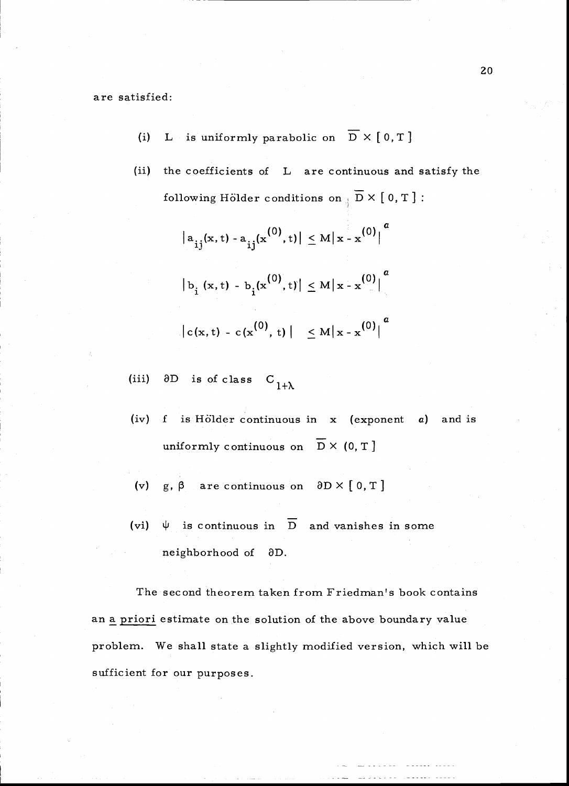are satisfied:

- L is uniformly parabolic on  $\overline{D} \times [0, T]$  $(i)$
- $(ii)$ the coefficients of L are continuous and satisfy the following Hölder conditions on  $\overline{D} \times [0, T]$ :
	- $|a_{ij}(x,t) a_{ij}(x^{(0)},t)| \leq M |x x^{(0)}|$  $|b_{i}(x,t) - b_{i}(x^{(0)},t)| \leq M |x - x^{(0)}|^{a}$  $|c(x,t) - c(x^{(0)},t)| \leq M |x-x^{(0)}|^{a}$  $\alpha$

 $\partial D$  is of class  $C$ <sub>1+ $\lambda$ </sub>  $(iii)$ 

- $(iv)$ f is Hölder continuous in  $x$  (exponent  $a$ ) and is uniformly continuous on  $\overline{D} \times (0, T)$
- (v) g,  $\beta$  are continuous on  $\partial D \times [0, T]$
- $\psi$  is continuous in  $\overline{D}$  and vanishes in some  $(vi)$ neighborhood of 8D.

The second theorem taken from Friedman's book contains an a priori estimate on the solution of the above boundary value problem. We shall state a slightly modified version, which will be sufficient for our purposes.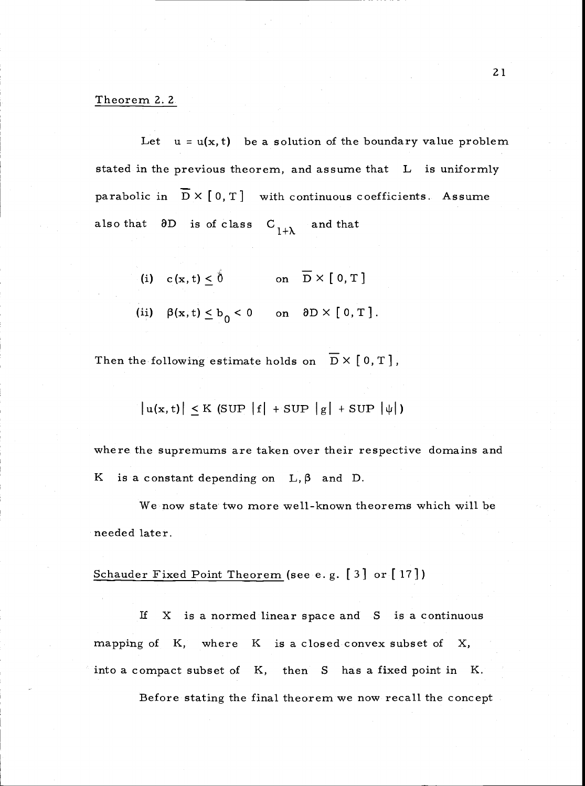## Theorem 2. 2

Let  $u = u(x, t)$  be a solution of the boundary value problem stated in the previous theorem, and assume that L is uniformly parabolic in  $\overline{D} \times [0, T]$  with continuous coefficients. Assume also that  $\partial D$  is of class  $C_{1+\lambda}$  and that

- (i)  $c(x, t) \le \hat{0}$  on  $\overline{D} \times [0, T]$
- (ii)  $\beta(x, t) \le b_0 < 0$  on  $\partial D \times [0, T]$ .

Then the following estimate holds on  $\overline{D} \times [0, T]$ ,

$$
|u(x, t)| \leq K \left(SUP \left|f\right| + SUP \left|g\right| + SUP \left|\psi\right|\right)
$$

where the supremums are taken over their respective domains and K is a constant depending on  $L, \beta$  and D.

We now state two more well-known theorems which will be needed later.

## Schauder Fixed Point Theorem (see e.g. [3] or [17])

If X is a normed linear space and S is a continuous mapping of  $K$ , where  $K$  is a closed convex subset of  $X$ , into a compact subset of K, then S has a fixed point in K.

Before stating the final theorem we now recall the concept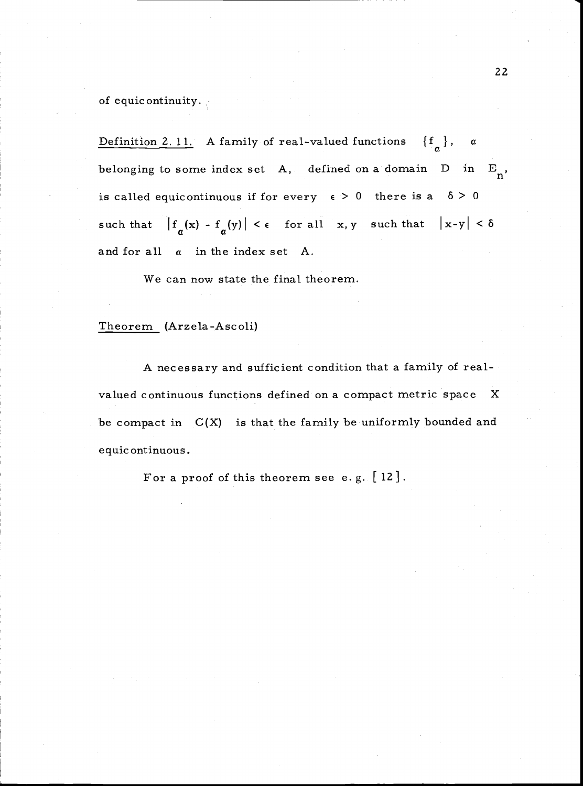of equic ontinuity.

Definition 2. 11. A family of real-valued functions  $\{f_{a}\}\$ , a belonging to some index set A, defined on a domain D in  $E_n$ , is called equicontinuous if for every  $\epsilon > 0$  there is a  $\delta > 0$ such that  $|f_{\alpha}(x) - f_{\alpha}(y)| < \epsilon$  for all x, y such that  $|x-y| < \delta$ and for all  $a$  in the index set A.

We can now state the final theorem.

### Theorem (Arzela-Ascoli)

A necessary and sufficient condition that a family of realvalued continuous functions defined on a compact metric space X be compact in  $C(X)$  is that the family be uniformly bounded and equic ontinuous.

For a proof of this theorem see e.g. [12].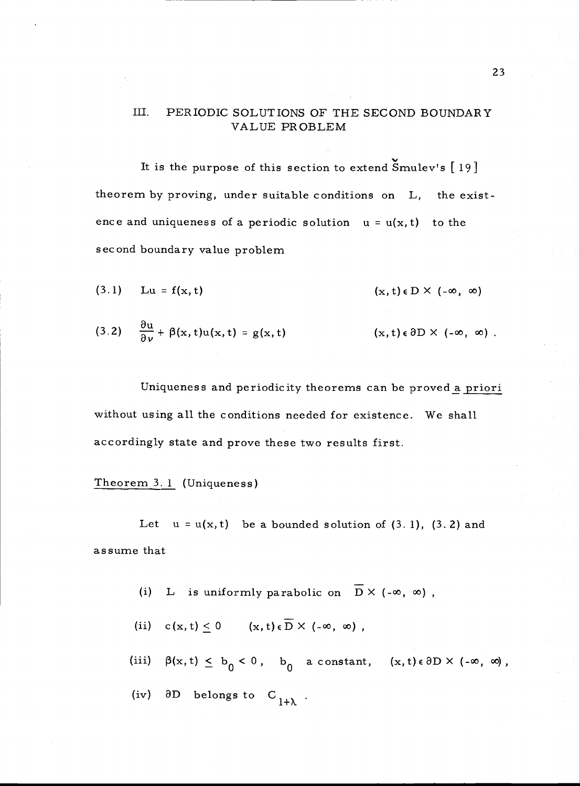## III. PERIODIC SOLUTIONS OF THE SECOND BOUNDARY VALUE PROBLEM

It is the purpose of this section to extend  $\text{Smulev's}$  [19] theorem by proving, under suitable conditions on L, the existence and uniqueness of a periodic solution  $u = u(x, t)$  to the second boundary value problem

$$
(3.1) \quad Lu = f(x, t) \quad (x, t) \in D \times (-\infty, \infty)
$$

(3.2) 
$$
\frac{\partial u}{\partial \nu} + \beta(x, t)u(x, t) = g(x, t)
$$
   
  $(x, t) \in \partial D \times (-\infty, \infty)$ .

Uniqueness and periodicity theorems can be proved a priori without using all the conditions needed for existence. We shall accordingly state and prove these two results first.

### Theorem 3. 1 (Uniqueness)

Let  $u = u(x, t)$  be a bounded solution of (3.1), (3.2) and assume that

- L is uniformly parabolic on  $\overline{D}$  X (- $\infty$ ,  $\infty$ ),  $(i)$
- (ii)  $c(x, t) < 0$   $(x, t) \in \overline{D} \times (-\infty, \infty)$ ,
- (iii)  $\beta(x, t) \leq b_0 < 0$ ,  $b_0$  a constant,  $(x, t) \in \partial D \times (-\infty, \infty)$ ,
- (iv)  $\partial D$  belongs to  $C_{1+\lambda}$ .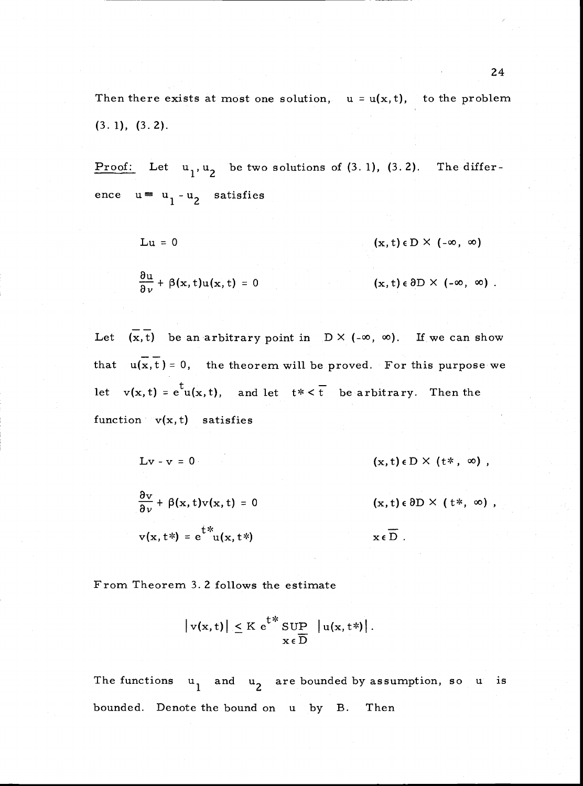Then there exists at most one solution,  $u = u(x, t)$ , to the problem (3. 1), (3. 2).

Proof: Let  $u_1, u_2$  be two solutions of  $(3.1)$ ,  $(3.2)$ . The difference  $u = u_1 - u_2$  satisfies

$$
Lu = 0 \qquad (x, t) \in D \times (-\infty, \infty)
$$

$$
\frac{\partial u}{\partial \nu} + \beta(x, t) u(x, t) = 0 \qquad (x, t) \in \partial D \times (-\infty, \infty) .
$$

Let  $(\overline{x},\overline{t})$  be an arbitrary point in  $D \times (-\infty, \infty)$ . If we can show that  $u(x, t) = 0$ , the theorem will be proved. For this purpose we let  $v(x, t) = e^{t}u(x, t)$ , and let  $t \times \overline{t}$  be arbitrary. Then the function  $v(x,t)$  satisfies

$$
Lv - v = 0 \qquad (x, t) \in D \times (t*, \infty),
$$
  
\n
$$
\frac{\partial v}{\partial v} + \beta(x, t)v(x, t) = 0 \qquad (x, t) \in \partial D \times (t*, \infty),
$$
  
\n
$$
v(x, t^*) = e^{\frac{t}{v}x}(x, t^*) \qquad x \in \overline{D}.
$$

From Theorem 3. 2 follows the estimate

$$
|v(x,t)| \leq K e^{t^*} \sup_{x \in \overline{D}} |u(x,t^*)|.
$$

The functions  $u_1$  and  $u_2$  are bounded by assumption, so u is bounded. Denote the bound on u by B. Then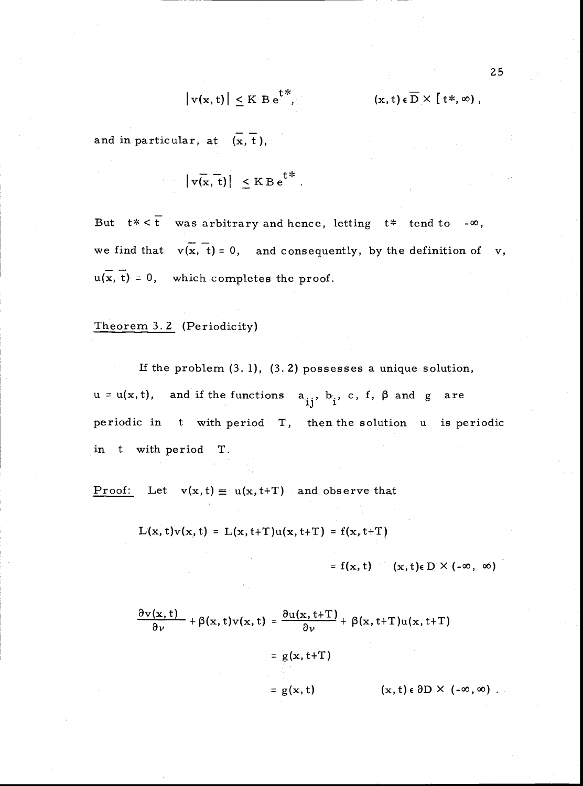$$
|v(x,t)| \leq K B e^{t^*},
$$

and in particular, at  $(\overline{x}, \overline{t})$ ,

$$
|v(x, t)| \leq K B e^{t^*}.
$$

But  $t \times \overline{t}$  was arbitrary and hence, letting  $t \times$  tend to - $\infty$ , we find that  $v(x, t) = 0$ , and consequently, by the definition of v,  $u(x, t) = 0$ , which completes the proof.

### Theorem 3. 2 (Periodicity)

If the problem (3. 1), (3. 2) possesses a unique solution,  $u = u(x, t)$ , and if the functions  $a_{ij}$ ,  $b_j$ , c, f,  $\beta$  and g are periodic in t with period T, then the solution <sup>u</sup> is periodic in t with period T.

Proof: Let  $v(x,t) \equiv u(x,t+T)$  and observe that

$$
L(x, t)v(x, t) = L(x, t+T)u(x, t+T) = f(x, t+T)
$$

=  $f(x, t)$  (x, t)e D  $\times$  (- $\infty$ ,  $\infty$ )

$$
\frac{\partial v(x,t)}{\partial \nu} + \beta(x,t)v(x,t) = \frac{\partial u(x,t+T)}{\partial \nu} + \beta(x,t+T)u(x,t+T)
$$

$$
= g(x,t+T)
$$

$$
= g(x,t) \qquad (x,t) \in \partial D \times (-\infty,\infty)
$$

 $(x, t) \in \overline{D} \times [t*, \infty)$ ,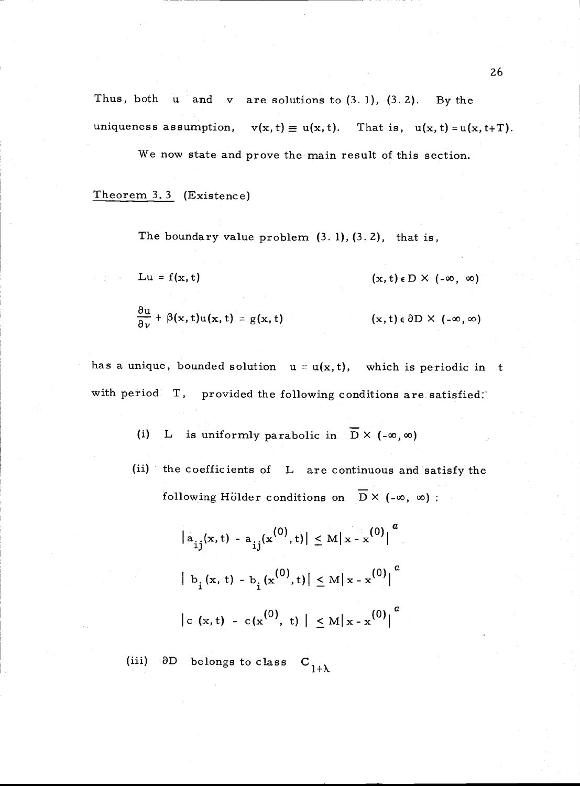Thus, both  $u$  and  $v$  are solutions to  $(3.1)$ ,  $(3.2)$ . By the uniqueness assumption,  $v(x,t) \equiv u(x,t)$ . That is,  $u(x,t) = u(x,t+T)$ .

We now state and prove the main result of this section.

Theorem 3. 3 (Existence)

The boundary value problem  $(3.1)$ ,  $(3.2)$ , that is,

Lu = f(x, t)  $(x, t) \in D \times (-\infty, \infty)$ 

$$
\frac{\partial u}{\partial \nu} + \beta(x, t) u(x, t) = g(x, t) \qquad (x, t) \in \partial D \times (-\infty, \infty)
$$

has a unique, bounded solution  $u = u(x, t)$ , which is periodic in t with period T, provided the following conditions are satisfied.

> L is uniformly parabolic in  $\overline{D}$  X (- $\infty$ ,  $\infty$ )  $(i)$

(ii) the coefficients of L are continuous and satisfy the following Hölder conditions on  $\overline{D}$  X (- $\infty$ ,  $\infty$ ) :

$$
\left| a_{ij}(x, t) - a_{ij}(x^{(0)}, t) \right| \le M \left| x - x^{(0)} \right|^a
$$
  

$$
\left| b_{i}(x, t) - b_{i}(x^{(0)}, t) \right| \le M \left| x - x^{(0)} \right|^a
$$
  

$$
\left| c(x, t) - c(x^{(0)}, t) \right| \le M \left| x - x^{(0)} \right|^a
$$

D belongs to class  $C_{1+\lambda}$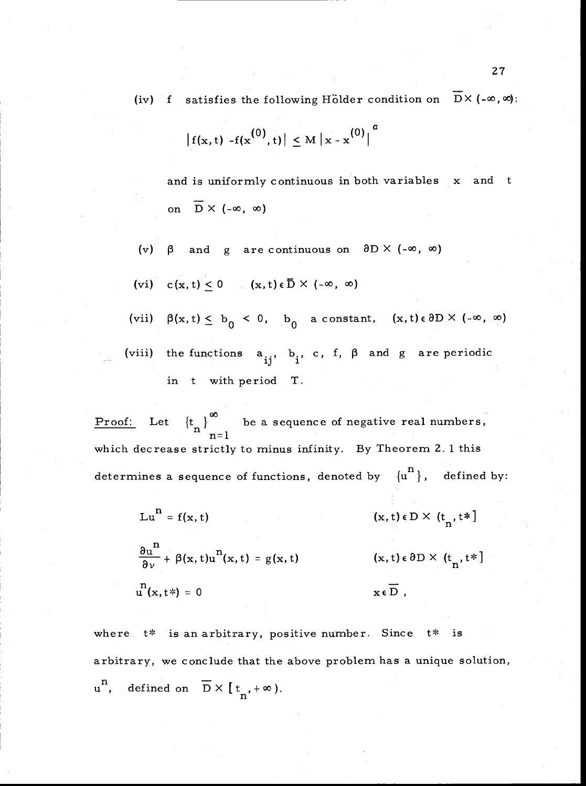(iv) f satisfies the following Hölder condition on  $\overline{D} \times (-\infty, \infty)$ :

$$
|f(x,t) - f(x^{(0)},t)| \leq M |x - x^{(0)}|^{a}
$$

and is uniformly continuous in both variables x and t on  $\overline{D} \times (-\infty, \infty)$ 

(v)  $\beta$  and g are continuous on  $\partial D \times (-\infty, \infty)$ 

(vi) 
$$
c(x, t) \le 0
$$
  $(x, t) \in \overline{D} \times (-\infty, \infty)$ 

- (vii)  $\beta(x,t) \leq b_0 < 0$ ,  $b_0$  a constant,  $(x,t) \in \partial D \times (-\infty, \infty)$
- (viii) the functions  $a_{ij}$ ,  $b_i$ , c, f,  $\beta$  and g are periodic in t with period T.

Proof: Let  ${t_{n}}$  be a sequence of negative real numbers, which decrease strictly to minus infinity. By Theorem 2. 1 this determines a sequence of functions, denoted by  $\{u^n\}$ , defined by:

Lu<sup>n</sup> = f(x, t) (x, t)  $\epsilon$  D X (t<sub>n</sub>, t\*]

 $\frac{\partial u^n}{\partial y}$  +  $\beta(x, t)u^n(x, t) = g(x, t)$  (x, t)  $\epsilon \partial D \times (t_n, t^*)$  $u^{n}(x,t*) = 0$   $x \in \overline{D}$ ,

where  $t^*$  is an arbitrary, positive number. Since  $t^*$  is arbitrary, we conclude that the above problem has a unique solution,  $u^{n}$ , defined on  $\overline{D} \times [t_{n}, +\infty)$ .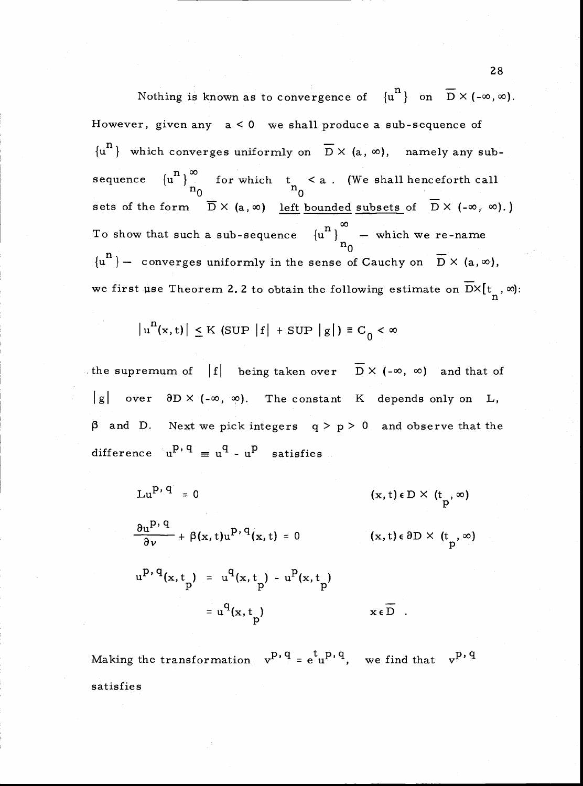Nothing is known as to convergence of  $\{u^n\}$  on  $\overline{D} \times (-\infty,\infty)$ . However, given any  $a < 0$  we shall produce a sub-sequence of  ${u<sup>n</sup>}$  which converges uniformly on  $\overline{D}$  X (a,  $\infty$ ), namely any subsequence  ${u^n}_n$  for which  $t_n < a$ . (We shall henceforth call sets of the form  $\overline{D} \times (a, \infty)$  <u>left bounded subsets</u> of  $\overline{D} \times (-\infty, \infty)$ .) To show that such a sub-sequence  ${u^{n}}$   $\sim$  which we re-name  $n_0$   $\ldots$  ${u^{n}}$  – converges uniformly in the sense of Cauchy on  $\overline{D}$   $\times$  (a,  $\infty$ ), we first use Theorem 2.2 to obtain the following estimate on  $\overline{D} \times [t_n, \infty)$ :

$$
|u^n(x,t)| \leq K \text{ (SUP } |f| + \text{SUP } |g|) \equiv C_0 < \infty
$$

the supremum of  $|f|$  being taken over  $\overline{D} \times (-\infty, \infty)$  and that of  $|g|$  over  $\partial D \times (-\infty, \infty)$ . The constant K depends only on L,  $\beta$  and D. Next we pick integers  $q > p > 0$  and observe that the difference  $u^{p,q} \equiv u^q - u^p$  satisfies

$$
Lu^{p, q} = 0
$$
 (x, t)  $\epsilon$  D × (t<sub>p</sub>, ∞)  

$$
\frac{\partial u^{p, q}}{\partial v} + \beta(x, t)u^{p, q}(x, t) = 0
$$
 (x, t)  $\epsilon$  ∂D × (t<sub>p</sub>, ∞)  

$$
u^{p, q}(x, t_{p}) = u^{q}(x, t_{p}) - u^{p}(x, t_{p})
$$

$$
= u^{q}(x, t_{p})
$$
 x  $\epsilon$  D

Making the transformation  $v^{p,q} = e^{t}u^{p,q}$ , we find that  $v^{p,q}$ satisfies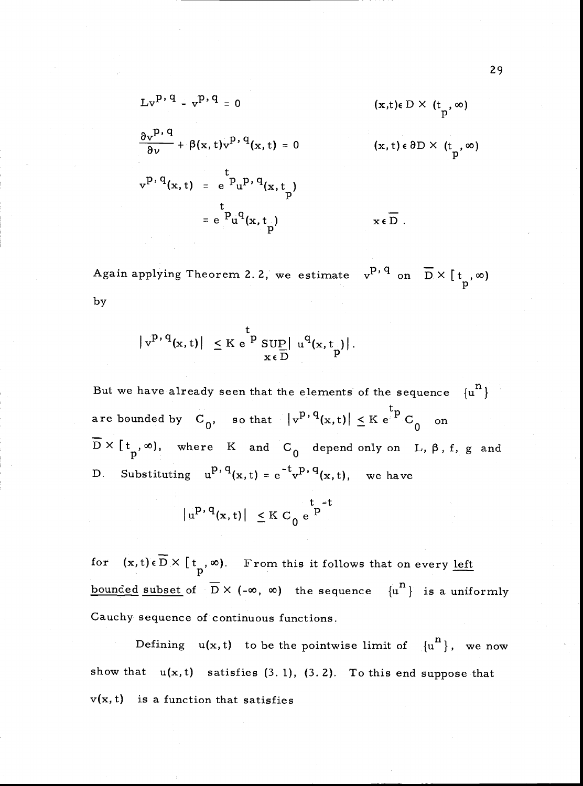$$
Lv^{p, q} - v^{p, q} = 0 \qquad (x, t) \in D \times (t_p, \infty)
$$
  

$$
\frac{\partial v^{p, q}}{\partial v} + \beta(x, t)v^{p, q}(x, t) = 0 \qquad (x, t) \in \partial D \times (t_p, \infty)
$$
  

$$
v^{p, q}(x, t) = e^{\int_{t_p}^{t_p} P(x, t_p)} = e^{\int_{t_p}^{t_q} P(x, t_p)} \qquad x \in D
$$

Again applying Theorem 2.2, we estimate  $v^{p,q}$  on  $\overline{D} \times [t_n, \infty)$ by

$$
\left| \mathbf{v}^{p,\,q}(\mathbf{x},t) \right| \leq K \, \mathbf{e}^{\mathbf{b}} \, \underset{\mathbf{x} \, \in \, D}{\sup} \left| \, \mathbf{u}^q(\mathbf{x},t_p) \right|.
$$

But we have already seen that the elements of the sequence  $\{u^n\}$ are bounded by  $C_0$ , so that  $|v^{p,q}(x,t)| \leq K e^{-tp} C_0$  on  $\overline{D} \times [\begin{array}{ccc} t_n,\infty), \end{array}$  where K and  $C_0$  depend only on L,  $\beta$ , f, g and D. Substituting  $u^{p, q}(x, t) = e^{-t} v^{p, q}(x, t)$ , we have

$$
|u^{p, q}(x, t)| \leq K C_0 e^{\int_{0}^{t} -t}
$$

for  $(x, t) \in \overline{D} \times [t_n, \infty)$ . From this it follows that on every <u>left</u> bounded subset of  $\overline{D} \times (-\infty, \infty)$  the sequence  $\{u^n\}$  is a uniformly Cauchy sequence of continuous functions.

Defining  $u(x, t)$  to be the pointwise limit of  ${u^n}$ , we now show that  $u(x, t)$  satisfies (3.1), (3.2). To this end suppose that  $v(x, t)$  is a function that satisfies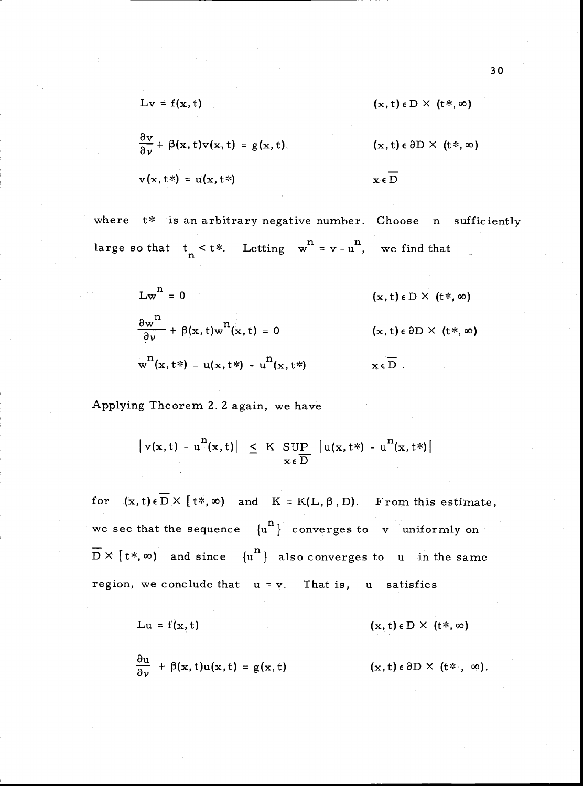$$
Lv = f(x, t) \qquad (x, t) \in D \times (t^*, \infty)
$$

 $\frac{\partial v}{\partial \nu}$  +  $\beta(x, t)v(x, t) = g(x, t)$  (x, t)  $\epsilon \partial D \times (t*, \infty)$  $v(x, t^*) = u(x, t^*)$   $x \in \overline{D}$ 

where  $t^*$  is an arbitrary negative number. Choose n sufficiently large so that  $t \leq t^*$ . Letting  $w^n = v - u^n$ , we find that

$$
Lwn = 0
$$
 (x, t)  $\epsilon$  D × (t\*,  $\infty$ )  

$$
\frac{\partial wn}{\partial v} + \beta(x, t)wn(x, t) = 0
$$
 (x, t)  $\epsilon$   $\partial$ D × (t\*,  $\infty$ )  

$$
wn(x, t*) = u(x, t*) - un(x, t*)
$$
 x  $\epsilon$  D.

Applying Theorem 2. 2 again, we have

$$
\left| \mathbf{v}(\mathbf{x},t) - \mathbf{u}^{\mathbf{n}}(\mathbf{x},t) \right| \leq K \sup_{\mathbf{x} \in \overline{\mathbf{D}}} \left| \mathbf{u}(\mathbf{x},t^*) - \mathbf{u}^{\mathbf{n}}(\mathbf{x},t^*) \right|
$$

for  $(x,t)\in\overline{D}\times[t*,\infty)$  and  $K = K(L,\beta,D)$ . From this estimate, we see that the sequence  ${u^n}$  converges to v uniformly on<br> $\overline{D} \times [t^*, \infty)$  and since  ${u^n}$  also converges to u in the same region, we conclude that  $u = v$ . That is,  $u$  satisfies

$$
Lu = f(x, t) \qquad (x, t) \in D \times (t^*, \infty)
$$

$$
\frac{\partial u}{\partial \nu} + \beta(x, t)u(x, t) = g(x, t) \qquad (x, t) \in \partial D \times (t^* , \infty).
$$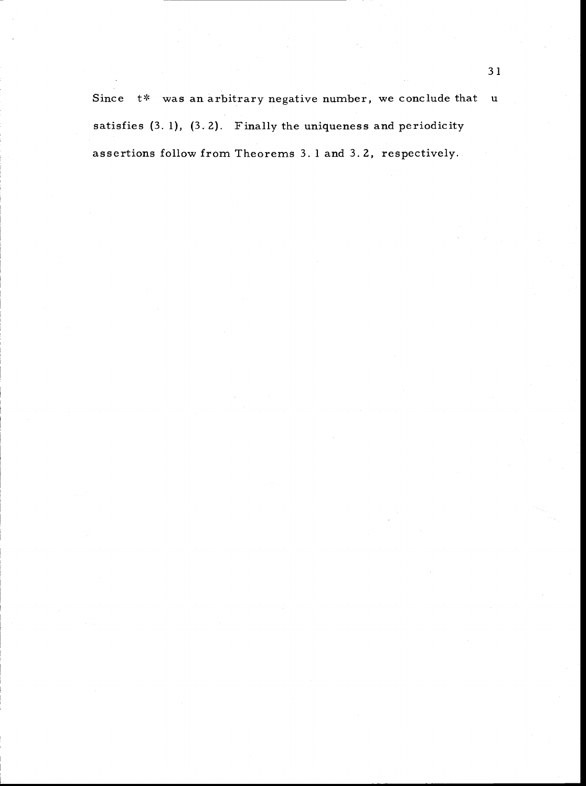Since  $t^*$  was an arbitrary negative number, we conclude that u satisfies  $(3. 1)$ ,  $(3. 2)$ . Finally the uniqueness and periodicity assertions follow from Theorems 3. 1 and 3. 2, respectively.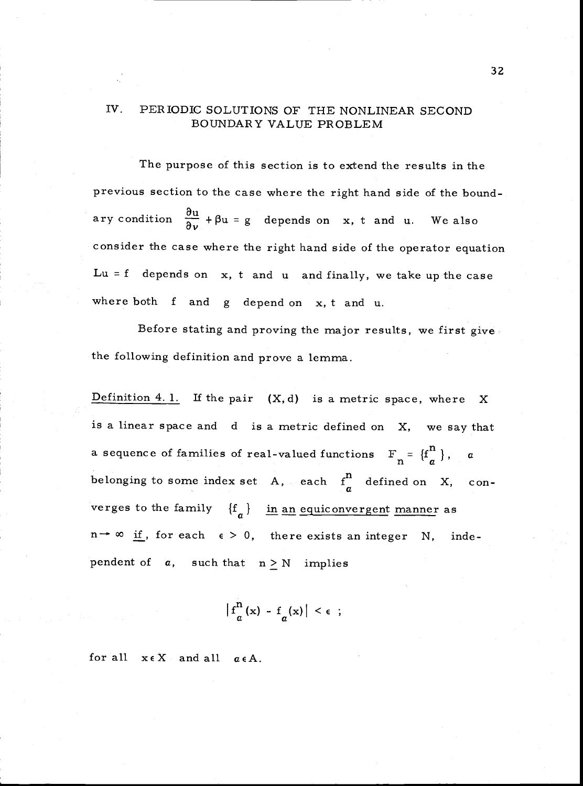## IV. PERIODIC SOLUTIONS OF THE NONLINEAR SECOND BOUNDARY VALUE PROBLEM

The purpose of this section is to extend the results in the previous section to the case where the right hand side of the boundary condition  $\frac{\partial u}{\partial v} + \beta u = g$  depends on x, t and u. We also consider the case where the right hand side of the operator equation  $Lu = f$  depends on  $x$ ,  $t$  and  $u$  and finally, we take up the case where both f and <sup>g</sup> depend on x, t and u.

Before stating and proving the major results, we first give the following definition and prove a lemma.

Definition 4.1. If the pair  $(X, d)$  is a metric space, where X is a linear space and <sup>d</sup> is a metric defined on X, we say that a sequence of families of real-valued functions  $F_n = {f^n \choose q}$ , a belonging to some index set A, each  $f_a^n$  defined on X, converges to the family  ${f<sub>a</sub>}$  in an equiconvergent manner as  $n \rightarrow \infty$  if, for each  $\epsilon > 0$ , there exists an integer N, independent of  $a$ , such that  $n \geq N$  implies

 $|f_a^n(x) - f_a(x)| < \epsilon$ ;

for all  $x \in X$  and all  $\alpha \in A$ .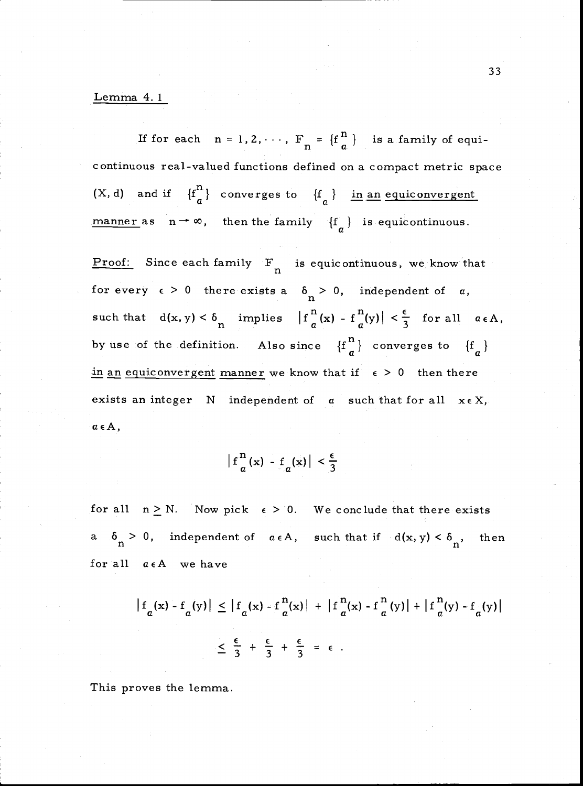### Lemma 4. 1

If for each  $n = 1, 2, \cdots$ ,  $F_n = \{f_n^n\}$  is a family of equicontinuous real-valued functions defined on a compact metric space (X, d) and if  $\{f_{a}^{n}\}\$  converges to  $\{f_{a}\}\$  in <u>an equiconvergent</u> manner as  $n \to \infty$ , then the family  $\{f_a\}$  is equicontinuous.

Proof: Since each family  $F_n$  is equicontinuous, we know that such that  $d(x, y) < \delta_n$  implies  $|f_{\alpha}^n(x) - f_{\alpha}^n(y)| < \frac{\epsilon}{3}$  for all  $\alpha \in A$ , by use of the definition. Also since  $\{f \frac{n}{a}\}$  converges to  $\{f \frac{n}{a}\}$ in an equiconvergent manner we know that if  $\epsilon > 0$  then there exists an integer  $N$  independent of  $\alpha$  such that for all  $x \in X$ ,  $a \in A$ , for every  $\epsilon > 0$  there exists a  $\delta_n > 0$ , independent of a,

 $f_{a}^{n}(x) - f_{a}(x) \Big| < \frac{\epsilon}{3}$ 

for all  $n \ge N$ . Now pick  $\epsilon > 0$ . We conclude that there exists a  $\delta_n > 0$ , independent of  $\alpha \in A$ , such that if  $d(x, y) < \delta_n$ , then for all  $a \in A$  we have

$$
\left|f_a(x) - f_a(y)\right| \le \left|f_a(x) - f_a^n(x)\right| + \left|f_a^n(x) - f_a^n(y)\right| + \left|f_a^n(y) - f_a(y)\right|
$$
  

$$
\le \frac{\epsilon}{3} + \frac{\epsilon}{3} + \frac{\epsilon}{3} = \epsilon
$$

This proves the lemma.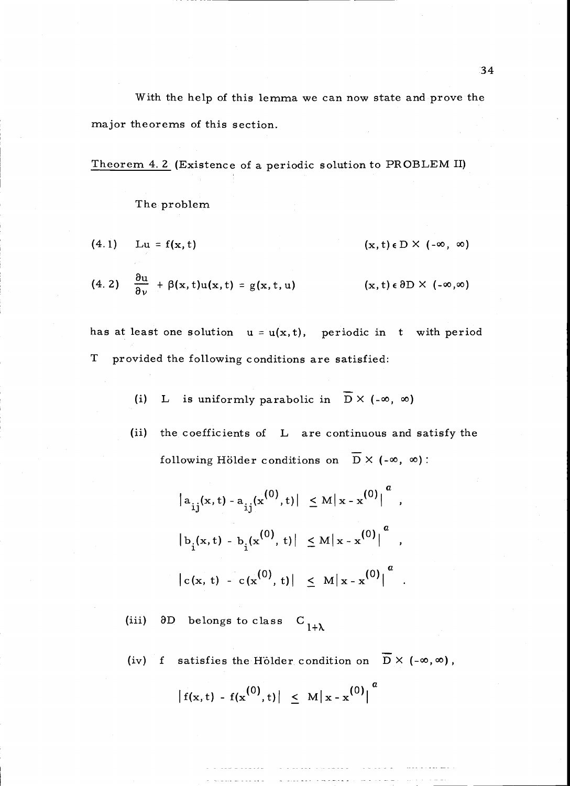With the help of this lemma we can now state and prove the major theorems of this section.

Theorem 4. 2 (Existence of a periodic solution to PROBLEM II)

The problem

$$
(4.1) \quad Lu = f(x, t) \quad (x, t) \in D \times (-\infty, \infty)
$$

(4. 2) 
$$
\frac{\partial u}{\partial \nu} + \beta(x, t)u(x, t) = g(x, t, u)
$$
   
  $(x, t) \in \partial D \times (-\infty, \infty)$ 

has at least one solution  $u = u(x, t)$ , periodic in t with period T provided the following conditions are satisfied:

(i) L is uniformly parabolic in 
$$
\overline{D} \times (-\infty, \infty)
$$

(ii) the coefficients of L are continuous and satisfy the following Hölder conditions on  $\overline{D}$  X (- $\infty$ ,  $\infty$ ):

$$
|a_{ij}(x, t) - a_{ij}(x^{(0)}, t)| \leq M |x - x^{(0)}|^{a}
$$
  
\n
$$
|b_{i}(x, t) - b_{i}(x^{(0)}, t)| \leq M |x - x^{(0)}|^{a}
$$
  
\n
$$
|c(x, t) - c(x^{(0)}, t)| \leq M |x - x^{(0)}|^{a}
$$

 $\partial D$  belongs to class  $C$ <sub>1+ $\lambda$ </sub>

(iv) f satisfies the Hölder condition on  $\overline{D}$  X (- $\infty$ ,  $\infty$ ),

$$
|f(x,t) - f(x^{(0)},t)| \leq M |x - x^{(0)}|^{a}
$$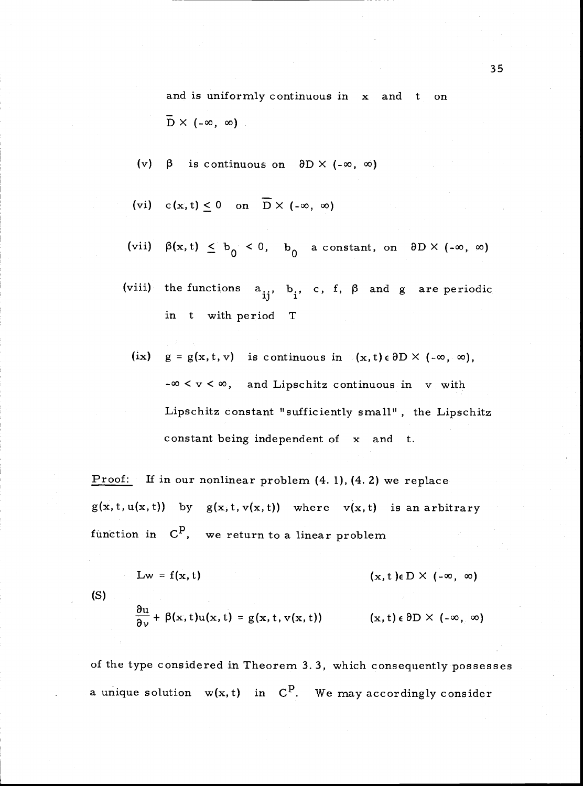and is uniformly continuous in x and t on  $\overline{D}$  X (- $\infty$ ,  $\infty$ )

(v)  $\beta$  is continuous on  $\partial D \times (-\infty, \infty)$ 

(vi) 
$$
c(x, t) \le 0
$$
 on  $\overline{D} \times (-\infty, \infty)$ 

- (vii)  $\beta(x,t) \leq b_0 < 0$ ,  $b_0$  a constant, on  $\partial D \times (-\infty, \infty)$
- (viii) the functions  $a_{ij}$ ,  $b_j$ , c, f,  $\beta$  and g are periodic in t with period T
	- $(ix)$   $g = g(x, t, v)$  is continuous in  $(x, t) \in \partial D \times (-\infty, \infty)$ ,  $-\infty < v < \infty$ , and Lipschitz continuous in v with Lipschitz constant "sufficiently small" , the Lipschitz constant being independent of x and t.

Proof: If in our nonlinear problem  $(4. 1)$ ,  $(4. 2)$  we replace  $g(x, t, u(x, t))$  by  $g(x, t, v(x, t))$  where  $v(x, t)$  is an arbitrary function in  $C^p$ , we return to a linear problem

 $Lw = f(x, t)$  (x, t)e D X (- $\infty$ ,  $\infty$ )

(S)

$$
\frac{\partial u}{\partial v} + \beta(x, t)u(x, t) = g(x, t, v(x, t)) \qquad (x, t) \in \partial D \times (-\infty, \infty)
$$

of the type considered in Theorem 3. 3, which consequently possesses a unique solution  $w(x, t)$  in  $C<sup>p</sup>$ . We may accordingly consider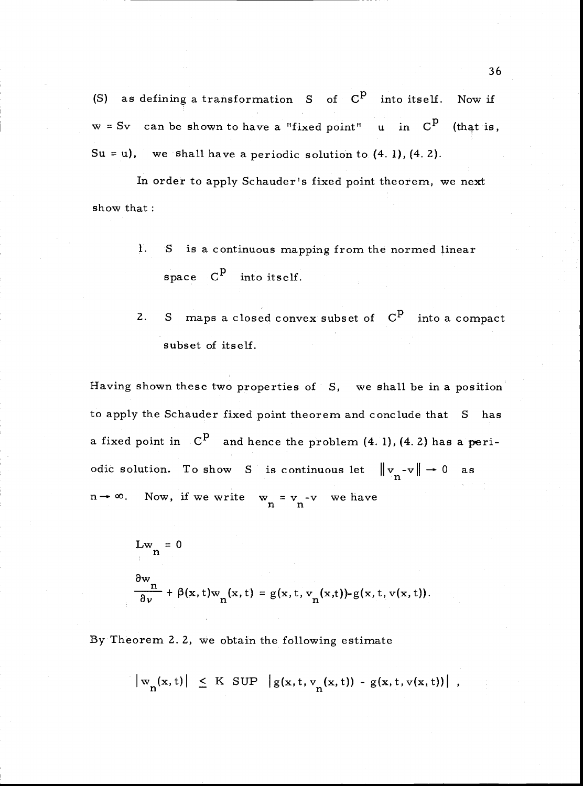(S) as defining a transformation S of  $C^P$  into itself. Now if  $w = Sv$  can be shown to have a "fixed point" u in  $C<sup>p</sup>$  (that is, Su = u), we shall have a periodic solution to  $(4. 1)$ ,  $(4. 2)$ .

In order to apply Schauder's fixed point theorem, we next show that:

- 1. <sup>S</sup> is a continuous mapping from the normed linear space  $C^P$  into itself.
- S maps a closed convex subset of  $C^P$  into a compact 2. subset of itself.

Having shown these two properties of 5, we shall be in a position to apply the Schauder fixed point theorem and conclude that S has a fixed point in  $\mathbb{C}^{\mathbf{p}}$  and hence the problem (4.1), (4.2) has a periodic solution. To show S is continuous let  $||v_n-v|| \to 0$  as Now, if we write  $w_n = v_n - v$  we have

$$
\begin{aligned} &Lw_n = 0\\ & \frac{\partial w_n}{\partial v} + \beta(x, t)w_n(x, t) = g(x, t, v_n(x, t)) - g(x, t, v(x, t)). \end{aligned}
$$

By Theorem 2. 2, we obtain the following estimate

$$
\big|w_n(x,t)\big| \leq K \sup \big|g(x,t,v_n(x,t)) - g(x,t,v(x,t))\big|,
$$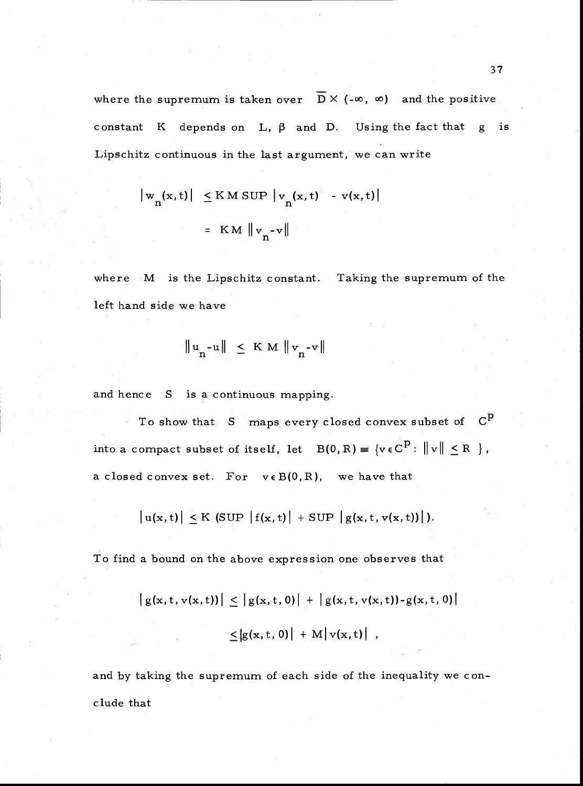where the supremum is taken over  $\overline{D}$   $\times$  (- $\infty$ ,  $\infty$ ) and the positive constant K depends on L,  $\beta$  and D. Using the fact that g is Lipschitz continuous in the last argument, we can write

$$
\begin{aligned} \left| \mathbf{w}_{n}(\mathbf{x}, t) \right| &\leq \mathrm{K} \, \mathrm{M} \, \mathrm{SUP} \, \left| \mathbf{v}_{n}(\mathbf{x}, t) \right| & \quad - \, \mathrm{v}(\mathbf{x}, t) \\ &= \, \mathrm{K} \, \mathrm{M} \, \left\| \mathbf{v}_{n} - \mathrm{v} \right\| \end{aligned}
$$

where M is the Lipschitz constant. Taking the supremum of the left hand side we have

$$
\|u_{n} - u\| \leq K M \|v_{n} - v\|
$$

and hence S is a continuous mapping.

To show that  $S$  maps every closed convex subset of  $C^P$ into a compact subset of itself, let  $B(0, R) = \{v \in C^P : ||v|| \le R \}$ , a closed convex set. For  $v \in B(0,R)$ , we have that

$$
|u(x,t)| \leq K \left(SUP \left|f(x,t)\right| + SUP \left|g(x,t,v(x,t))\right|\right).
$$

To find a bound on the above expression one observes that

$$
|g(x, t, v(x, t))| \le |g(x, t, 0)| + |g(x, t, v(x, t)) - g(x, t, 0)|
$$
  

$$
\le |g(x, t, 0)| + M |v(x, t)|,
$$

and by taking the supremum of each side of the inequality we conclude that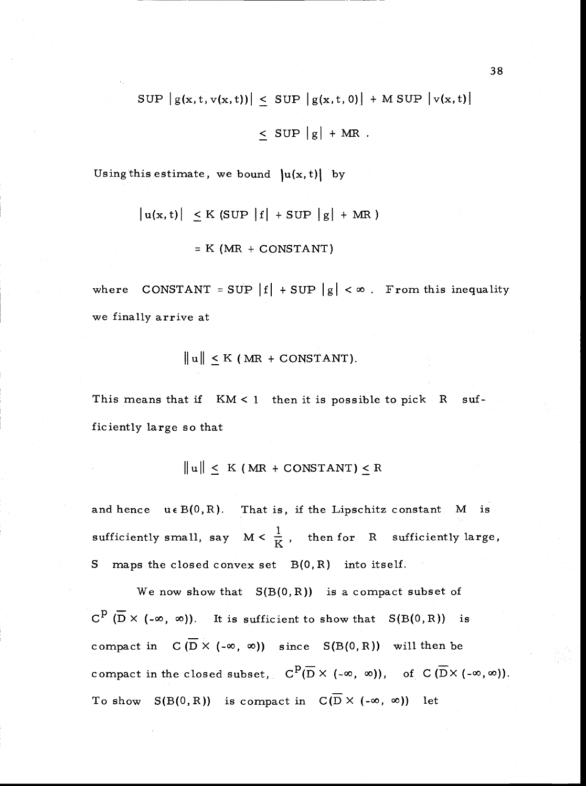$$
SUP | g(x, t, v(x, t)) | \leq SUP | g(x, t, 0) | + MSUP | v(x, t) |
$$

$$
\leq \text{SUP } |g| + \text{MR}.
$$

Using this estimate, we bound  $|u(x, t)|$  by

$$
\begin{aligned} \left| u(x,t) \right| &\leq K \text{ (SUP } \left| f \right| + \text{SUP } \left| g \right| + \text{ MR } ) \\ &= K \text{ (MR } + \text{CONSTANT)} \end{aligned}
$$

where CONSTANT = SUP  $|f|$  + SUP  $|g| < \infty$ . From this inequality we finally arrive at

$$
\|u\| \leq K \text{ (MR + CONSTANT)}.
$$

This means that if  $KM < 1$  then it is possible to pick  $R$  sufficiently large so that

$$
\|u\| \leq K \text{ (MR + CONSTANT)} \leq R
$$

and hence  $u \in B(0, R)$ . That is, if the Lipschitz constant M is sufficiently small, say  $M < \frac{1}{K}$ , then for R sufficiently large, S maps the closed convex set  $B(0, R)$  into itself.

We now show that  $S(B(0,R))$  is a compact subset of  $C^{\tilde{P}}(\overline{D}\times (-\infty, \infty))$ . It is sufficient to show that  $S(B(0,R))$  is compact in  $C(D \times (-\infty, \infty))$  since  $S(B(0,R))$  will then be compact in the closed subset,  $C^{\tilde{P}}(\overline{D} \times (-\infty, \infty))$ , of  $C(\overline{D} \times (-\infty, \infty))$ . To show  $S(B(0, R))$  is compact in  $C(\overline{D} \times (-\infty, \infty))$  let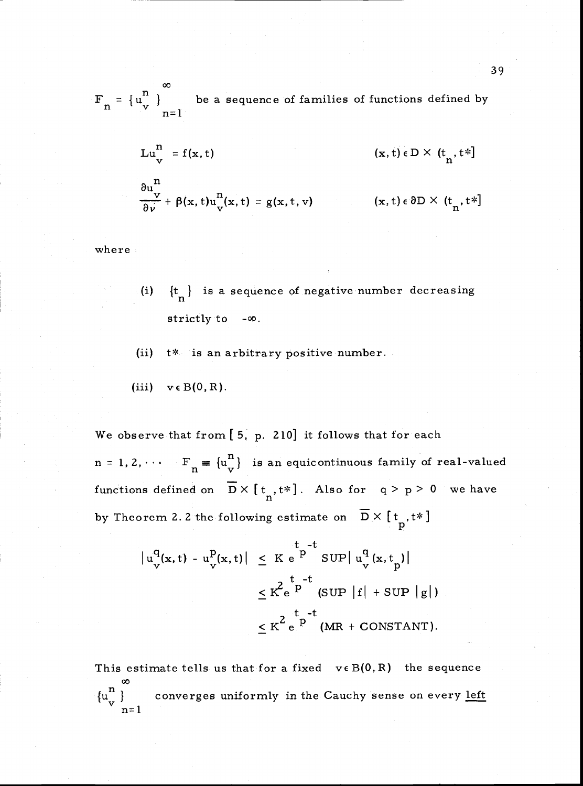be a sequence of families of functions defined by  $\frac{v}{n}$   $\frac{v}{n}$   $\frac{v}{n}$ 

$$
Lu_v^n = f(x, t)
$$
  
\n
$$
\frac{\partial u_v^n}{\partial v} + \beta(x, t)u_v^n(x, t) = g(x, t, v)
$$
  
\n
$$
(x, t) \in D \times (t_n, t^*]
$$
  
\n
$$
(x, t) \in \partial D \times (t_n, t^*]
$$

where

- (i)  ${t_{n}}$  is a sequence of negative number decreasing strictly to - $\infty$ .
- (ii) t\* is an arbitrary positive number.
- (iii)  $v \in B(0, R)$ .

We observe that from  $[5, p. 210]$  it follows that for each  $n = 1, 2, \cdots$   $F_n = {u_v^n}$  is an equicontinuous family of real-valued functions defined on  $\overline{D} \times [\overline{t}_n, t^*]$ . Also for  $q > p > 0$  we have by Theorem 2.2 the following estimate on  $\overline{D} \times [\overline{t}_p, t^*]$ 

$$
\begin{aligned}\n|u_{v}^{q}(x,t) - u_{v}^{p}(x,t)| &\leq K e^{\int_{0}^{t} -t} \text{sup} |u_{v}^{q}(x,t_{p})| \\
&\leq K^{2} e^{\int_{0}^{t} -t} \text{sup} |f| + \text{sup} |g| \\
&\leq K^{2} e^{\int_{0}^{t} -t} \text{min} + \text{constant}.\n\end{aligned}
$$

This estimate tells us that for a fixed  $v \in B(0,R)$  the sequence 00  $\{u \frac{n}{v}\}$  $v \big|_{n=1}^{n}$  converges u converges uniformly in the Cauchy sense on every left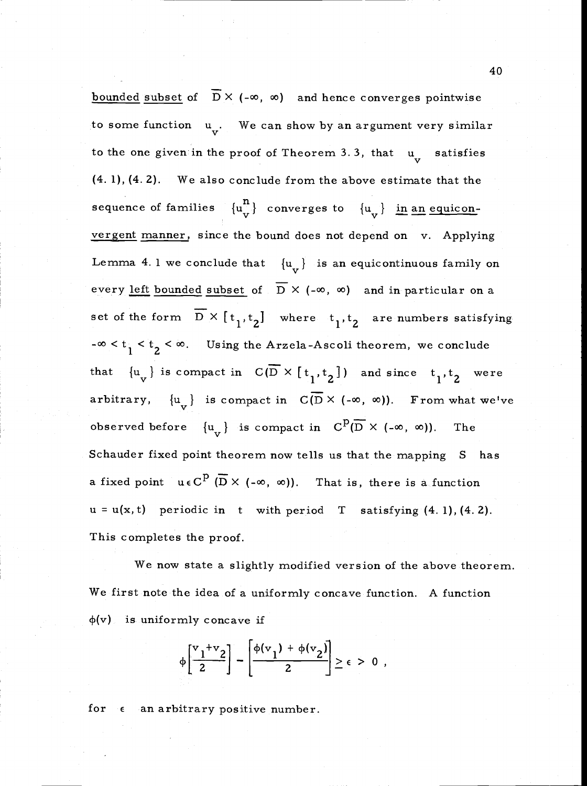bounded subset of  $\overline{D}$  X (- $\infty$ ,  $\infty$ ) and hence converges pointwise to some function  $u_{\nu}$ . We can show by an argument very similar to the one given in the proof of Theorem 3.3, that  $u_{tt}$  satisfies (4. 1), (4. 2). We also conclude from the above estimate that the sequence of families  $\{u_v^{\mathbf{n}}\}$  converges to  $\{u_v\}$  in an equiconvergent manner, since the bound does not depend on v. Applying Lemma 4. 1 we conclude that  ${u_{\bf v}}$  is an equicontinuous family on every left bounded subset of  $\overline{D}$   $\times$  (- $\infty$ ,  $\infty$ ) and in particular on a set of the form  $\overline{D} \times [\overline{t}_1, t_2]$  where  $\overline{t}_1, \overline{t}_2$  are numbers satisfying  $-\infty < t_1 < t_2 < \infty$ . Using the Arzela-Ascoli theorem, we conclude that  $\{u_v\}$  is compact in  $C(\overline{D} \times [t_1,t_2])$  and since  $t_1,t_2$  were arbitrary,  $\{u_{v}\}\$ is compact in  $C(\overline{D} \times (-\infty, \infty))$ . From what we've observed before  $\{u_{v}\}\$  is compact in  $C^{D}(\overline{D}\times (-\infty, \infty))$ . The Schauder fixed point theorem now tells us that the mapping S has a fixed point  $u \in C^{\mathbf{p}}(\overline{D} \times (-\infty, \infty))$ . That is, there is a function  $u = u(x, t)$  periodic in t with period T satisfying  $(4. 1)$ ,  $(4. 2)$ . This completes the proof.

We now state a slightly modified version of the above theorem. We first note the idea of a uniformly concave function. A function  $\phi(v)$  is uniformly concave if

$$
\phi\left[\frac{v_1+v_2}{2}\right] - \left[\frac{\phi(v_1) + \phi(v_2)}{2}\right] \ge \epsilon > 0,
$$

for  $\epsilon$  an arbitrary positive number.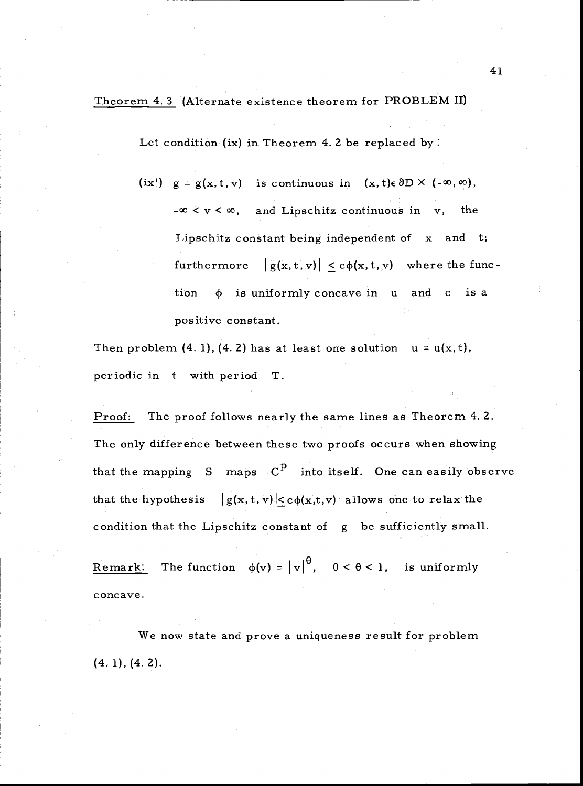Theorem 4. 3 (Alternate existence theorem for PROBLEM LI)

Let condition (ix) in Theorem 4. 2 be replaced by:

 $(ix')$  g = g(x,t,v) is continuous in (x,t)e  $\partial D \times (-\infty, \infty)$ ,  $-\infty < v < \infty$ , and Lipschitz continuous in v, the Lipschitz constant being independent of x and t; furthermore  $|g(x,t,v)| < c\phi(x,t,v)$  where the function  $\phi$  is uniformly concave in u and c is a positive constant.

Then problem (4. 1), (4. 2) has at least one solution  $u = u(x, t)$ , periodic in t with period T.

Proof: The proof follows nearly the same lines as Theorem 4.2. The only difference between these two proofs occurs when showing that the mapping  $S$  maps  $C^P$  into itself. One can easily observe that the hypothesis  $|g(x, t, v)| < c\phi(x,t,v)$  allows one to relax the condition that the Lipschitz constant of g be sufficiently small.

Remark: The function  $\phi(v) = |v|^\theta$ ,  $0 < \theta < 1$ , is uniformly concave.

We now state and prove a uniqueness result for problem (4. 1), (4. 2).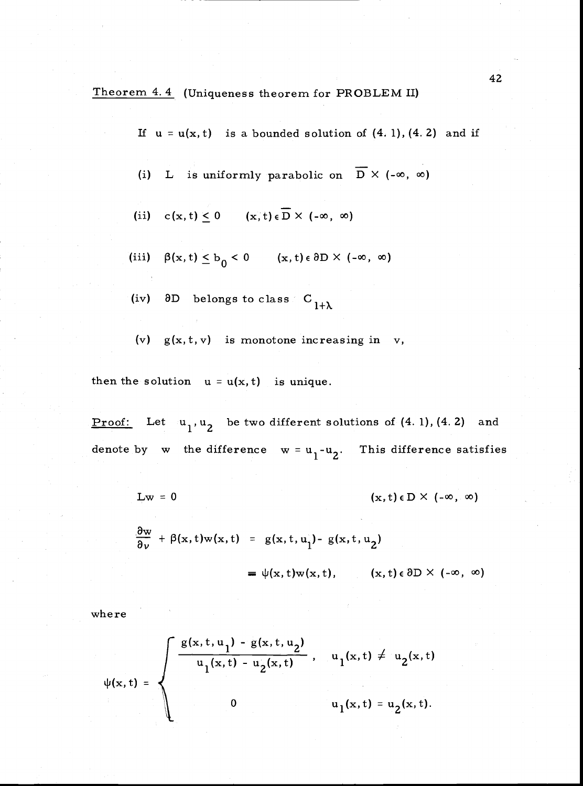Theorem 4. 4 Uniqueness theorem for PROBLEM II)

If  $u = u(x, t)$  is a bounded solution of  $(4.1)$ ,  $(4.2)$  and if

- (i) L is uniformly parabolic on  $\overline{D}$  X (- $\infty$ ,  $\infty$ )
- (ii)  $c(x, t) \leq 0$   $(x, t) \in \overline{D} \times (-\infty, \infty)$
- (iii)  $\beta(x,t) \leq b_0 < 0$   $(x,t) \in \partial D \times (-\infty, \infty)$
- (iv)  $\partial D$  belongs to class  $C$ <sub>1+ $\lambda$ </sub>
- (v)  $g(x, t, v)$  is monotone increasing in v,

then the solution  $u = u(x, t)$  is unique.

Proof: Let  $u_1, u_2$  be two different solutions of  $(4. 1)$ ,  $(4. 2)$  and denote by w the difference  $w = u_1-u_2$ . This difference satisfies

$$
Lw = 0 \qquad (x, t) \in D \times (-\infty, \infty)
$$

$$
\frac{\partial w}{\partial v} + \beta(x, t) w(x, t) = g(x, t, u_1) - g(x, t, u_2)
$$
  
=  $\psi(x, t) w(x, t), \qquad (x, t) \in \partial D \times (-\infty, \infty)$ 

where

$$
\psi(x,t) = \begin{cases} \frac{g(x,t,u_1) - g(x,t,u_2)}{u_1(x,t) - u_2(x,t)}, & u_1(x,t) \neq u_2(x,t) \\ 0 & u_1(x,t) = u_2(x,t). \end{cases}
$$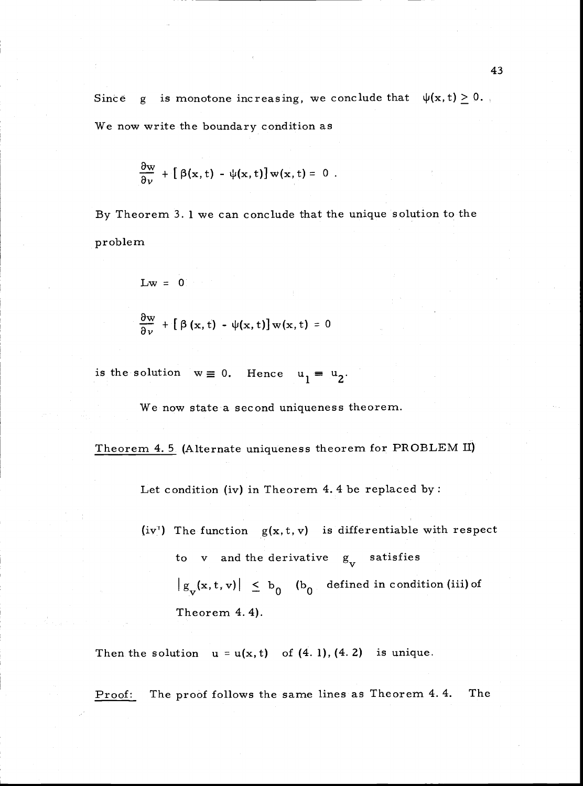Since g is monotone increasing, we conclude that  $\psi(x,t) \geq 0$ . We now write the boundary condition as

$$
\frac{\partial w}{\partial v} + [\beta(x, t) - \psi(x, t)] w(x, t) = 0.
$$

By Theorem 3. 1 we can conclude that the unique solution to the problem

$$
\mathbf{L}\mathbf{w} = \mathbf{0}
$$

$$
\frac{\partial w}{\partial v} + [\beta(x, t) - \psi(x, t)] w(x, t) = 0
$$

is the solution  $w \equiv 0$ . Hence  $u_1 = u_2$ .

We now state a second uniqueness theorem.

Theorem 4. 5 (Alternate uniqueness theorem for PROBLEM II)

Let condition (iv) in Theorem 4. 4 be replaced by:

(iv') The function  $g(x, t, v)$  is differentiable with respect to v and the derivative  $g_V$  satisfies  $|g_{\mathbf{v}}(\mathbf{x}, t, \mathbf{v})| \leq b_0$  (b<sub>0</sub> defined in condition (iii) of Theorem 4. 4).

Then the solution  $u = u(x, t)$  of  $(4. 1)$ ,  $(4. 2)$  is unique.

Proof: The proof follows the same lines as Theorem 4.4. The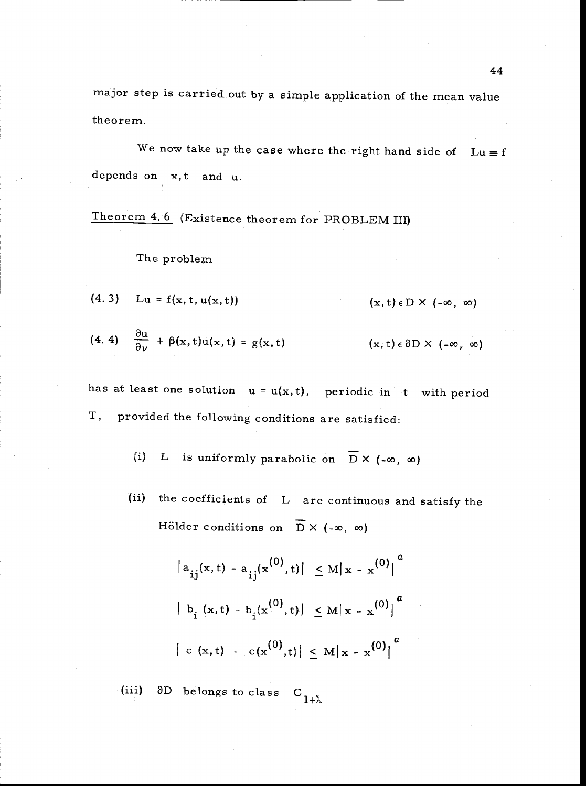major step is cartied out by a simple application of the mean value theorem.

We now take up the case where the right hand side of  $Lu \equiv f$ depends on x, t and u.

Theorem 4. 6 (Existence theorem for PROBLEM III)

#### The problem

(4. 3) Lu = f(x, t, u(x, t)) (x, t)  $\epsilon$  D  $\times$  (- $\infty$ ,  $\infty$ )

$$
(4.4) \quad \frac{\partial u}{\partial \nu} + \beta(x,t)u(x,t) = g(x,t) \qquad (x,t) \in \partial D \times (-\infty, \infty)
$$

has at least one solution  $u = u(x, t)$ , periodic in t with period T, provided the following conditions are satisfied:

> L is uniformly parabolic on  $\overline{D}$  X (- $\infty$ ,  $\infty$ )  $(i)$

(ii) the coefficients of L are continuous and satisfy the Hölder conditions on  $\overline{D}$  X (- $\infty$ ,  $\infty$ )

$$
\begin{aligned}\n|a_{ij}(x,t) - a_{ij}(x^{(0)},t)| &\leq M|x - x^{(0)}|^{a} \\
|b_{i}(x,t) - b_{i}(x^{(0)},t)| &\leq M|x - x^{(0)}|^{a} \\
|c(x,t) - c(x^{(0)},t)| &\leq M|x - x^{(0)}|^{a}\n\end{aligned}
$$

(iii)  $\partial D$  belongs to class  $C_{1+\lambda}$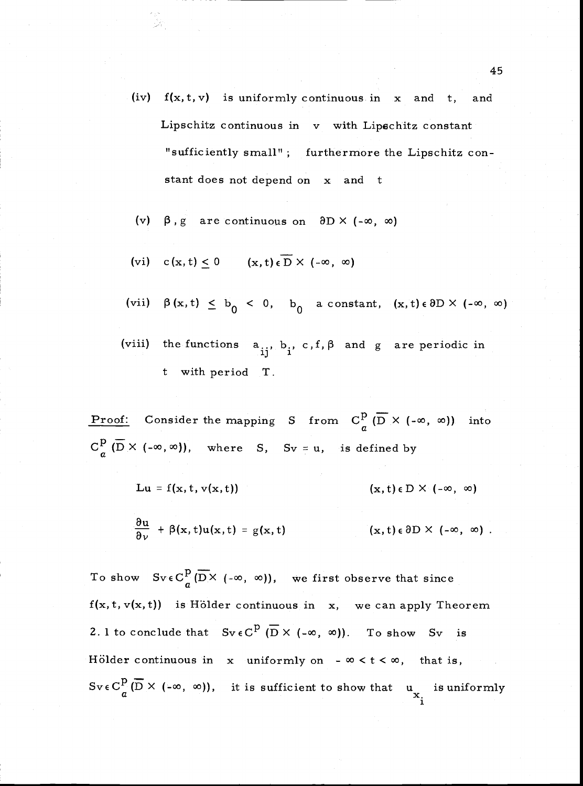- (iv)  $f(x, t, v)$  is uniformly continuous in x and t, and Lipschitz continuous in v with Lipschitz constant "sufficiently small" ; furthermore the Lipschitz constant does not depend on x and t
- $\beta$ , g are continuous on  $\partial D \times (-\infty, \infty)$  $(v)$
- (vi)  $c(x,t) \le 0$   $(x,t) \in \overline{D} \times (-\infty, \infty)$
- (vii)  $\beta(x, t) \leq b_0 < 0$ ,  $b_0$  a constant,  $(x, t) \in \partial D \times (-\infty, \infty)$
- (viii) the functions  $a_{ii}$ ,  $b_i$ , c, f,  $\beta$  and g are periodic in t with period T.

**Proof:** Consider the mapping S from  $C_p^p$  ( $\overline{D}$   $\times$  (- $\infty$ ,  $\infty$ )) into  $C^p_\sigma(\overline{D}\times(-\infty,\infty))$ , where S, Sv = u, is defined by

Lu = f(x, t, v(x, t)) (x, t)  $\in$  D  $\times$  (- $\infty$ ,  $\infty$ )

$$
\frac{\partial u}{\partial \nu} + \beta(x, t) u(x, t) = g(x, t) \qquad (x, t) \in \partial D \times (-\infty, \infty)
$$

To show  $SveC_{\sigma}^{p}(\overline{D} \times (-\infty, \infty))$ , we first observe that since  $f(x, t, v(x, t))$  is Hölder continuous in x, we can apply Theorem 2. 1 to conclude that  $Sv \in C^p$   $(\overline{D} \times (-\infty, \infty))$ . To show Sv is Hölder continuous in x uniformly on -  $\infty < t < \infty$ , that is,  $Sv \in C_d^p(\overline{D} \times (-\infty, \infty))$ , it is sufficient to show that  $u_{\overline{X}_1}$  is uniformly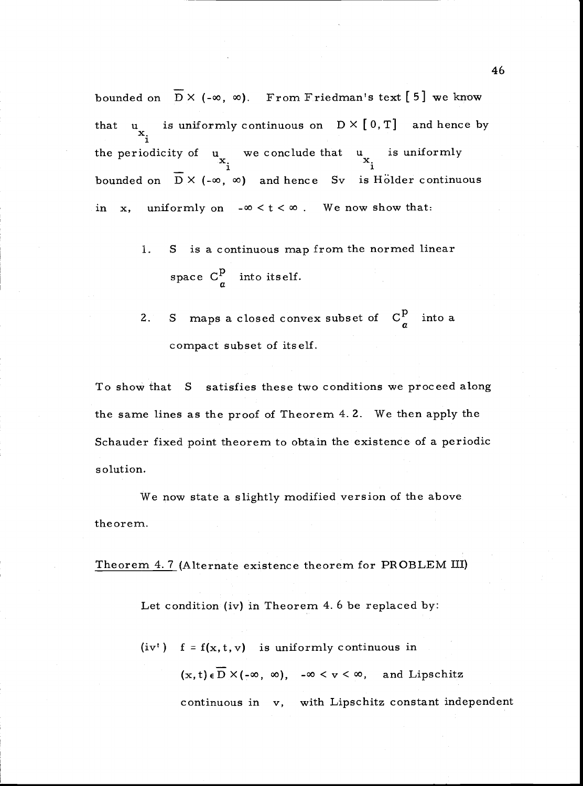bounded on  $\overline{D}$  X (- $\infty$ ,  $\infty$ ). From Friedman's text [5] we know that u<sub>x</sub> is uniformly continuous on  $D \times [0, T]$  and hence by the periodicity of  $u_x$  we conclude that  $u_x$  is uniformly bounded on  $\overline{D}$  X (- $\infty$ ,  $\infty$ ) and hence Sv is Holder continuous in x, uniformly on  $-\infty < t < \infty$ . We now show that:

- S is a continuous map from the normed linear l. space  $C_a^p$  into itself.
- S maps a closed convex subset of  $C_a^p$  into a 2. compact subset of itself.

To show that S satisfies these two conditions we proceed along the same lines as the proof of Theorem 4. 2. We then apply the Schauder fixed point theorem to obtain the existence of a periodic solution.

We now state a slightly modified version of the above the ore m.

Theorem 4. 7 (Alternate existence theorem for PROBLEM III)

Let condition (iv) in Theorem 4. 6 be replaced by:

continuous in v, with Lipschitz constant independent  $(iv<sup>t</sup>)$  f = f(x, t, v) is uniformly continuous in  $(x,t)\in\overline{D}\times(-\infty, \infty)$ ,  $-\infty < y < \infty$ , and Lipschitz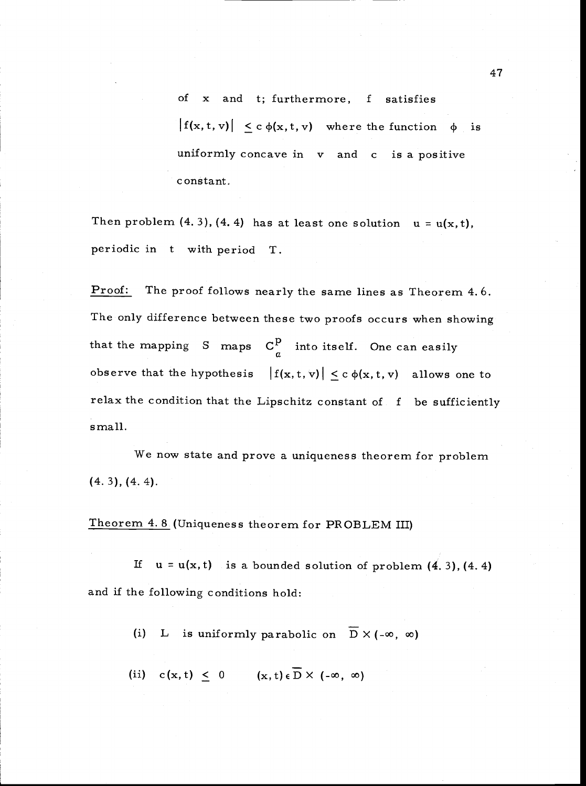of x and t; furthermore, f satisfies  $|f(x, t, v)| \leq c \phi(x, t, v)$  where the function  $\phi$  is uniformly concave in v and c is a positive constant.

Then problem (4.3), (4.4) has at least one solution  $u = u(x, t)$ , periodic in t with period T.

Proof: The proof follows nearly the same lines as Theorem 4.6. The only difference between these two proofs occurs when showing that the mapping S maps  $C_q^p$  into itself. One can easily observe that the hypothesis  $|f(x,t,v)| \leq c \phi(x,t,v)$  allows one to relax the condition that the Lipschitz constant of f be sufficiently small.

We now state and prove a uniqueness theorem for problem (4. 3), (4. 4).

Theorem 4. 8 (Uniqueness theorem for PROBLEM III)

If  $u = u(x, t)$  is a bounded solution of problem  $(4, 3)$ ,  $(4, 4)$ and if the following conditions hold:

(i) L is uniformly parabolic on  $\overline{D} \times (-\infty, \infty)$ 

(ii)  $c(x, t) \leq 0$   $(x, t) \in \overline{D} \times (-\infty, \infty)$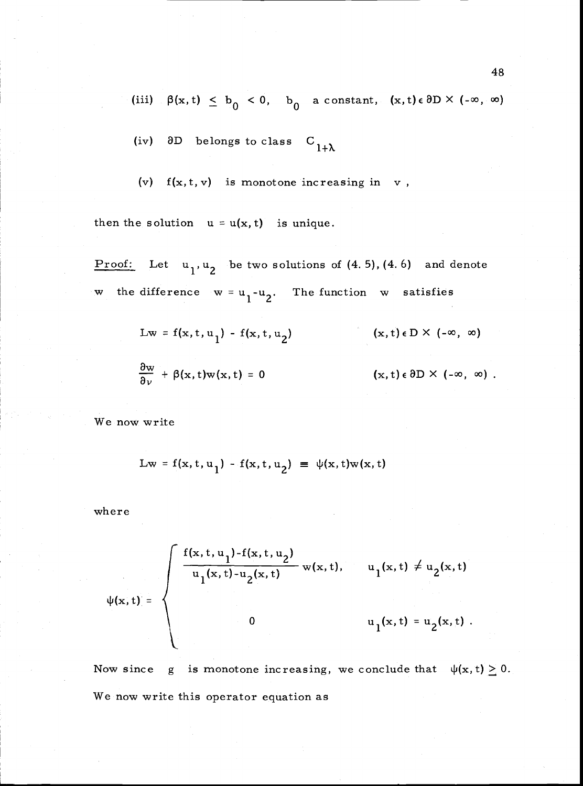(iii)  $\beta(x,t) \leq b_0 < 0$ ,  $b_0$  a constant,  $(x,t) \in \partial D \times (-\infty, \infty)$ 

(iv)  $\partial D$  belongs to class  $C_{1+\lambda}$ 

(v)  $f(x, t, v)$  is monotone increasing in v,

then the solution  $u = u(x, t)$  is unique.

Proof: Let  $u_1, u_2$  be two solutions of  $(4.5)$ ,  $(4.6)$  and denote w the difference  $w = u_1 - u_2$ . The function w satisfies

$$
Lw = f(x, t, u1) - f(x, t, u2) \qquad (x, t) \in D \times (-\infty, \infty)
$$
  

$$
\frac{\partial w}{\partial v} + \beta(x, t)w(x, t) = 0 \qquad (x, t) \in \partial D \times (-\infty, \infty).
$$

We now write

$$
Lw = f(x, t, u_1) - f(x, t, u_2) \equiv \psi(x, t)w(x, t)
$$

where

$$
\psi(x,t) = \begin{cases} \frac{f(x,t,u_1) - f(x,t,u_2)}{u_1(x,t) - u_2(x,t)} w(x,t), & u_1(x,t) \neq u_2(x,t) \\ 0 & u_1(x,t) = u_2(x,t) . \end{cases}
$$

Now since g is monotone increasing, we conclude that  $\psi(x,t) \geq 0$ . We now write this operator equation as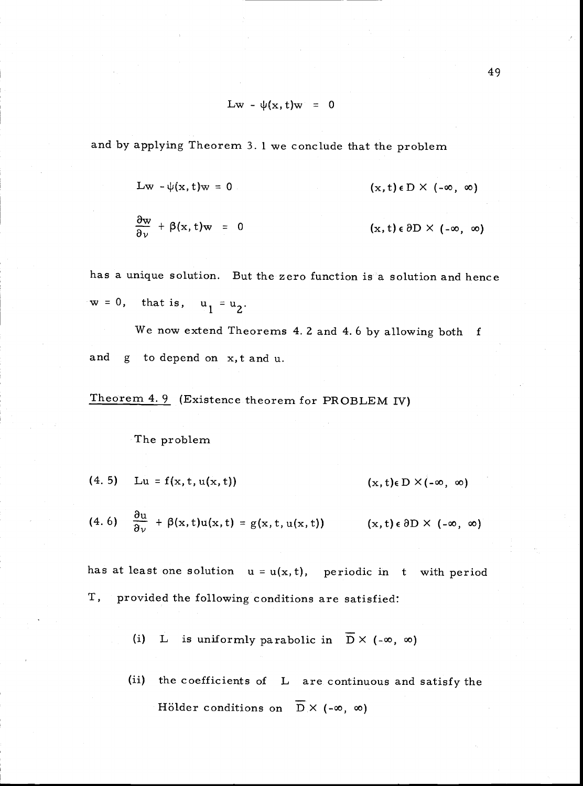$$
Lw - \psi(x, t)w = 0
$$

and by applying Theorem 3. 1 we conclude that the problem

$$
Lw - \psi(x, t)w = 0 \qquad (x, t) \in D \times (-\infty, \infty)
$$

$$
\frac{\partial w}{\partial v} + \beta(x, t) w = 0 \qquad (x, t) \in \partial D \times (-\infty, \infty)
$$

has a unique solution. But the zero function is a solution and hence  $w = 0$ , that is,  $u_1 = u_2$ .

We now extend Theorems 4. 2 and 4. 6 by allowing both f and g to depend on x,t and u.

Theorem 4. 9 (Existence theorem for PROBLEM IV)

# The problem

$$
(4.5) \quad Lu = f(x, t, u(x, t)) \quad (x, t) \in D \times (-\infty, \infty)
$$

(4. 6) 
$$
\frac{\partial u}{\partial \nu} + \beta(x, t)u(x, t) = g(x, t, u(x, t))
$$
  $(x, t) \in \partial D \times (-\infty, \infty)$ 

has at least one solution  $u = u(x, t)$ , periodic in t with period T, provided the following conditions are satisfied:

- L is uniformly parabolic in  $\overline{D}$  X (- $\infty$ ,  $\infty$ )  $(i)$
- (ii) the coefficients of L are continuous and satisfy the Hölder conditions on  $\overline{D}$  X (- $\infty$ ,  $\infty$ )